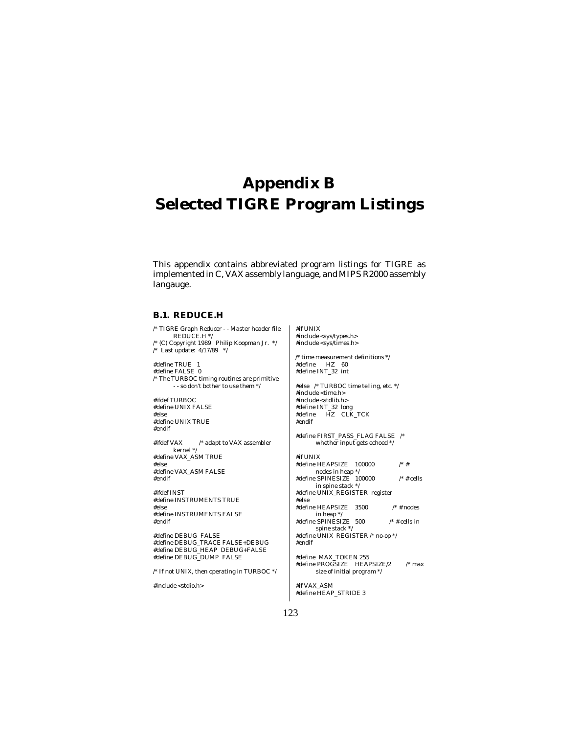# **Appendix B Selected TIGRE Program Listings**

This appendix contains abbreviated program listings for TIGRE as implemented in C, VAX assembly language, and MIPS R2000 assembly langauge.

### **B.1. REDUCE.H**

/\* TIGRE Graph Reducer - - Master header file REDUCE.H \*/ /\* (C) Copyright 1989 Philip Koopman Jr. \*/ /\* Last update: 4/17/89 \*/ #define TRUE 1 #define FALSE 0 /\* The TURBOC timing routines are primitive - - so don't bother to use them \*/ #ifdef TURBOC

#define UNIX FALSE #else #define UNIX TRUE #endif

#ifdef VAX /\* adapt to VAX assembler kernel \*/ #define VAX\_ASM TRUE #else #define VAX\_ASM FALSE #endif

#ifdef INST #define INSTRUMENTS TRUE #else #define INSTRUMENTS FALSE #endif

#define DEBUG FALSE #define DEBUG\_TRACE FALSE+DEBUG #define DEBUG\_HEAP DEBUG+FALSE #define DEBUG\_DUMP FALSE

 $\prime^*$  If not UNIX, then operating in TURBOC  $^*/$ 

#include <stdio.h>

#if UNIX #include <sys/types.h> #include <sys/times.h>  $\prime^*$  time measurement definitions  $^*/$ #define HZ 60 #define INT\_32 int #else /\* TURBOC time telling, etc. \*/  $\#include$   $\mbox{t}$   $\mbox{t}$   $\mbox{t}$   $\mbox{t}$   $\mbox{t}$   $\mbox{t}$   $\mbox{t}$   $\mbox{t}$   $\mbox{t}$   $\mbox{t}$   $\mbox{t}$   $\mbox{t}$   $\mbox{t}$   $\mbox{t}$   $\mbox{t}$   $\mbox{t}$   $\mbox{t}$   $\mbox{t}$   $\mbox{t}$   $\mbox{t}$   $\mbox{t}$ #include <stdlib.h> #define INT\_32 long #define HZ CLK\_TCK #endif #define FIRST\_PASS\_FLAG FALSE /\* whether input gets echoed \*/ #if UNIX #define HEAPSIZE 100000 /\* # nodes in heap \*/ #define SPINESIZE  $100000$  /\* # cells in spine stack \*/ #define UNIX\_REGISTER register #else #define HEAPSIZE 3500 /\* # nodes in heap \*/ #define SPINESIZE 500 /\* # cells in spine stack \*/ #define UNIX\_REGISTER /\* no-op \*/ #endif #define MAX\_TOKEN 255 #define PROGSIZE HEAPSIZE/2 /\* max size of initial program \*/ #if VAX\_ASM

#define HEAP\_STRIDE 3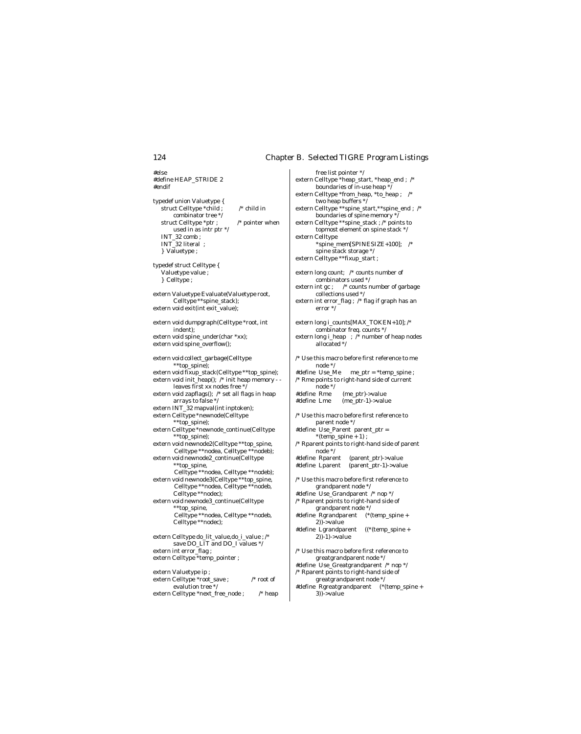free list pointer \*/

#else #define HEAP\_STRIDE 2 #endif typedef union Valuetype { struct Celltype \*child ; /\* child in combinator tree \*/ struct Celltype \*ptr ; /\* pointer when used in as intr ptr \*/ INT\_32 comb ; INT\_32 literal ; } Valuetype ; typedef struct Celltype { Valuetype value ; } Celltype ; extern Valuetype Evaluate(Valuetype root, Celltype \*\*spine\_stack); extern void exit(int exit\_value); extern void dumpgraph(Celltype \*root, int indent); extern void spine\_under(char \*xx); extern void spine\_overflow(); extern void collect\_garbage(Celltype \*\*top\_spine); extern void fixup\_stack(Celltype \*\*top\_spine); extern void init\_heap(); /\* init heap memory - leaves first xx nodes free \* extern void zapflags(); /\* set all flags in heap arrays to false \*/ extern INT\_32 mapval(int inptoken); extern Celltype \*newnode(Celltype \*\*top\_spine); extern Celltype \*newnode\_continue(Celltype \*\*top\_spine); extern void newnode2(Celltype \*\*top\_spine, Celltype \*\*nodea, Celltype \*\*nodeb); extern void newnode2\_continue(Celltype \*\*top\_spine, Celltype \*\*nodea, Celltype \*\*nodeb); extern void newnode3(Celltype \*\*top\_spine, Celltype \*\*nodea, Celltype \*\*nodeb, Celltype \*\*nodec); extern void newnode3\_continue(Celltype \*\*top\_spine, Celltype \*\*nodea, Celltype \*\*nodeb, Celltype \*\*nodec); extern Celltype do\_lit\_value,do\_i\_value ; /\* save DO\_LIT and DO\_I values \*/ extern int error\_flag ; extern Celltype \*temp\_pointer ; extern Valuetype ip ; extern Celltype \*root\_save ; /\* root of

evalution tree \*/

extern Celltype \*next\_free\_node ; /\* heap

extern Celltype \*heap\_start, \*heap\_end ; /\* boundaries of in-use heap \*/ extern Celltype \*from\_heap, \*to\_heap ; /\* two heap buffers \*/ extern Celltype \*\*spine\_start,\*\*spine\_end ; /\* boundaries of spine memory \*/ extern Celltype \*\*spine\_stack ; /\* points to topmost element on spine stack \*/ extern Celltype \*spine\_mem[SPINESIZE+100]; /\* spine stack storage \*/ extern Celltype \*\*fixup\_start ; extern long count; /\* counts number of combinators used \*/ extern int gc ; /\* counts number of garbage collections used \*/ extern int error\_flag ; /\* flag if graph has an error \*/ extern long i\_counts[MAX\_TOKEN+10]; /\* combinator freq. counts \*/ extern long i\_heap ; /\* number of heap nodes allocated \*/  $\prime^*$  Use this macro before first reference to me node \*/ #define Use\_Me me\_ptr = \*temp\_spine ; /\* Rme points to right-hand side of current node \*/<br>define Rme# #define Rme (me\_ptr)->value  $(me\_ptr-1)$ ->value /\* Use this macro before first reference to parent node \*/ #define Use\_Parent parent\_ptr =  $\hspace{0.1mm}$  \*(temp\_spine + 1) ; /\* Rparent points to right-hand side of parent node \*/<br>#define Rparent  $(parent$ <sub>ptr</sub> $)-y$ alue #define Lparent (parent\_ptr-1)->value  $\prime^*$  Use this macro before first reference to grandparent node \*/ #define Use\_Grandparent /\* nop \*/ /\* Rparent points to right-hand side of grandparent node \*/ #define Rgrandparent (\*(temp\_spine + 2))->value #define Lgrandparent ((\*(temp\_spine + 2))-1)->value /\* Use this macro before first reference to greatgrandparent node \*/ #define Use\_Greatgrandparent /\* nop \*/ /\* Rparent points to right-hand side of greatgrandparent node \*/

#define Rgreatgrandparent (\*(temp\_spine + 3))->value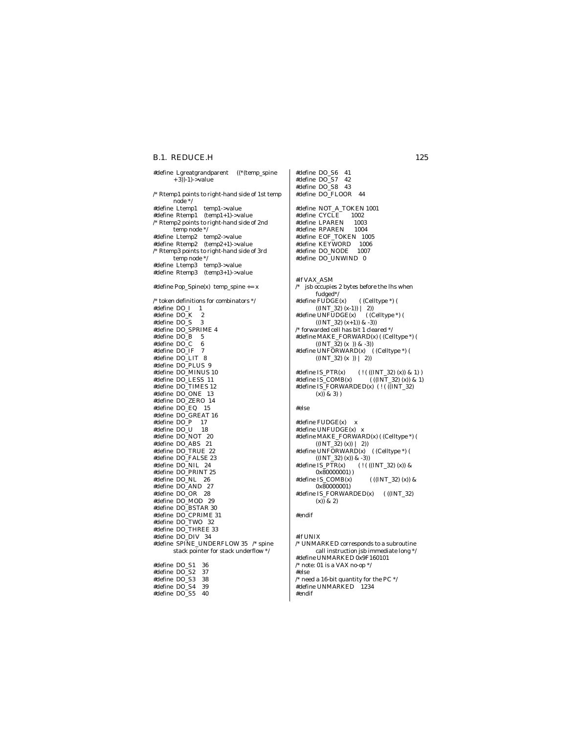### B.1. REDUCE.H 125

#define Lgreatgrandparent ((\*(temp\_spine + 3))-1)->value /\* Rtemp1 points to right-hand side of 1st temp node \*/ #define Ltemp1 temp1->value #define Rtemp1 (temp1+1)->value /\* Rtemp2 points to right-hand side of 2nd temp node \*/ #define Ltemp2 temp2->value #define Rtemp2 (temp2+1)->value /\* Rtemp3 points to right-hand side of 3rd temp node \*/ #define Ltemp3 temp3->value #define Rtemp3 (temp3+1)->value #define Pop\_Spine(x) temp\_spine += x  $\prime^*$  token definitions for combinators  $\prime\prime$ #define DO\_I 1 #define DO\_K 2 #define DO\_S 3 #define DO\_SPRIME 4  $#define DO_B 5$ <br> $#define DO C 6$ #define DO\_C 6 #define DO\_IF 7 #define DO\_LIT 8 #define DO\_PLUS 9 #define DO\_MINUS 10 #define DO\_LESS 11 #define DO\_TIMES 12 #define DO\_ONE 13 #define DO\_ZERO 14 #define DO\_EQ 15 #define DO\_GREAT 16 #define DO\_P 17 #define DO\_U 18 #define DO\_NOT 20 #define DO\_ABS 21 #define DO\_TRUE 22 #define DO\_FALSE 23 #define DO\_NIL 24 #define DO\_PRINT 25 #define DO\_NL 26 #define DO\_AND 27 #define DO\_OR 28 #define DO\_MOD 29 #define DO\_BSTAR 30 #define DO\_CPRIME 31 #define DO\_TWO 32 #define DO\_THREE 33 #define DO\_DIV 34 #define SPINE\_UNDERFLOW 35 /\* spine stack pointer for stack underflow \*/ #define DO\_S1 36 #define DO\_S2 37 #define DO\_S3 38 #define DO\_S4 39 #define DO\_S5 40

#define DO\_S6 41 #define DO\_S7 42 #define DO\_S8 43 #define DO\_FLOOR 44 #define NOT\_A\_TOKEN 1001 #define CYCLE 1002<br>#define LPAREN 1003 #define LPAREN 1003 #define RPAREN #define EOF\_TOKEN 1005 #define KEYWORD 1006 #define DO\_NODE 1007 #define DO\_UNWIND 0 #if VAX\_ASM  $\hspace{0.1mm}/^*$  jsb occupies 2 bytes before the lhs when fudged\*/ #define FUDGE(x) ( (Celltype \*) (  $((INT_32) (x-1)) | 2)$ #define UNFUDGE(x) ( (Celltype \*) (  $((INT_32)(x+1))$  & -3))  $\hspace{0.1em}/^*$  forwarded cell has bit 1 cleared  $\hspace{0.1em}^*$  / #define MAKE\_FORWARD(x) ( (Celltype \*) (  $((INT_32) (x)) & (3 - 3)$ #define UNFORWARD(x) ( (Celltype \*) (  $((INT_32) (x)) | 2)$ #define IS\_PTR(x) ( ! ( ((INT\_32) (x)) & 1) )<br>#define IS\_COMB(x) ( ((INT\_32) (x)) & 1) #define  $IS$ \_COMB $(x)$ #define IS\_FORWARDED(x) ( ! ( ((INT\_32) (x)) & 3) ) #else #define FUDGE(x) x #define UNFUDGE(x) x #define MAKE\_FORWARD(x) ( (Celltype \*) (  $((INT_32)(x)) | 2)$ #define UNFORWARD(x) ( (Celltype \*) (  $((INT_32)(x))$  & -3))<br>#define IS\_PTR(x) (!) #define IS\_PTR(x) ( ! ( ((INT\_32) (x)) & 0x80000001) ) #define IS\_COMB(x)  $((\text{INT}_32) (x))$  & 0x80000001)

#define IS\_FORWARDED(x) ( ((INT\_32) (x)) & 2)

#endif

#if UNIX /\* UNMARKED corresponds to a subroutine call instruction jsb immediate long \*/ #define UNMARKED 0x9F160101 /\* note: 01 is a VAX no-op \*/ #else  $\prime^*$  need a 16-bit quantity for the PC  $^*/$ #define UNMARKED 1234 #endif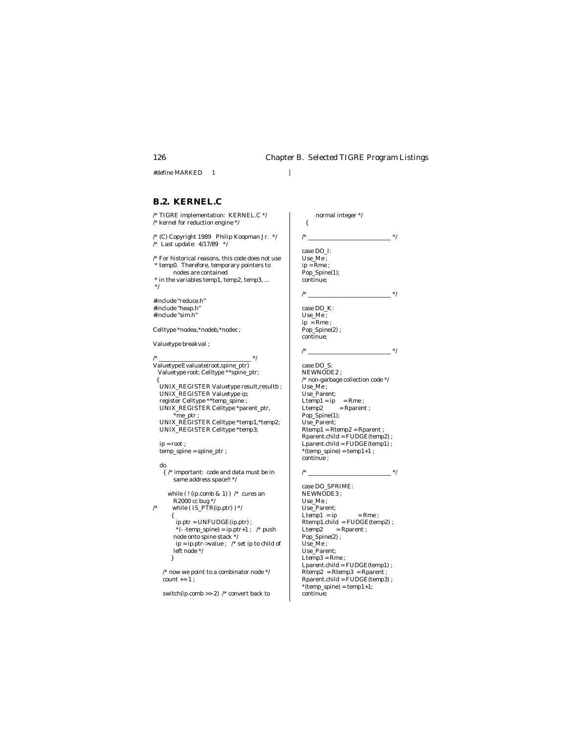normal integer \*/

{

#define MARKED 1

### **B.2. KERNEL.C**

/\* TIGRE implementation: KERNEL.C \*/ /\* kernel for reduction engine \*/

/\* (C) Copyright 1989 Philip Koopman Jr. \*/ /\* Last update: 4/17/89 \*/

 $\prime^*$  For historical reasons, this code does not use \* temp0. Therefore, temporary pointers to nodes are contained

 \* in the variables temp1, temp2, temp3, ... \*/

#include "reduce.h" #include "heap.h" #include "sim.h"

Celltype \*nodea,\*nodeb,\*nodec ;

Valuetype breakval ;

/\* \_\_\_\_\_\_\_\_\_\_\_\_\_\_\_\_\_\_\_\_\_\_\_\_\_\_\_\_\_\_\_ \*/ Valuetype Evaluate(root,spine\_ptr) Valuetype root; Celltype \*\*spine\_ptr; { UNIX\_REGISTER Valuetype result,resultb ; UNIX\_REGISTER Valuetype ip; register Celltype \*\*temp\_spine ; UNIX\_REGISTER Celltype \*parent\_ptr, \*me\_ptr ; UNIX\_REGISTER Celltype \*temp1,\*temp2; UNIX\_REGISTER Celltype \*temp3;  $\mathbf{in} = \mathbf{root}$ :  $\bar{\rm temp\_spine} = {\rm spine\_ptr}$  ; do { /\* important: code and data must be in same address space!! \*/ while (! (ip.comb & 1) )  $\frac{*}{*}$  cures an R2000 cc bug \*/ /\* while (  $IS_PTR(ip.ptr$  ) \*/ {  $\mathbf{ip}.\mathbf{ptr} = \mathbf{UNFUDGE}(\mathbf{ip}.\mathbf{ptr})$  ; \*(- -temp\_spine) =  $ip.prr+1$  ; /\* push node onto spine stack \*/ ip = ip.ptr->value ; /\* set ip to child of

> left node \*/ }

 $\prime^*$  now we point to a combinator node  $\prime\prime$ count  $+=1$ ;

switch(ip.comb >> 2) /\* convert back to

 /\* \_\_\_\_\_\_\_\_\_\_\_\_\_\_\_\_\_\_\_\_\_\_\_\_\_\_\_\_ \*/ case DO\_I: Use\_Me ;  $ip = Rme$ ; Pop\_Spine(1); continue; /\* \_\_\_\_\_\_\_\_\_\_\_\_\_\_\_\_\_\_\_\_\_\_\_\_\_\_\_\_ \*/ case DO\_K: Use\_Me ; ip = Rme ; Pop\_Spine(2) ; continue; /\* \_\_\_\_\_\_\_\_\_\_\_\_\_\_\_\_\_\_\_\_\_\_\_\_\_\_\_\_ \*/ case DO\_S: NEWNODE2 ;  $\hspace{0.1mm}/^*$  non-garbage collection code  $\hspace{0.1mm}^*$  Use\_Me ; Use\_Parent;  $\begin{array}{rl} \text{Ltemp1} = \text{ip} & = \text{Rme} \; ; \\ \text{Ltemp2} & = \text{Rparent} \end{array}$  $=$  Rparent ;  $\,$  Pop\_Spine(1); Use\_Parent; Rtemp1 = Rtemp2 = Rparent ; Rparent.child = FUDGE(temp2) ; Lparent.child = FUDGE(temp1) ;  $*(temp\_spine) = temp1+1$  ; continue ; /\* \_\_\_\_\_\_\_\_\_\_\_\_\_\_\_\_\_\_\_\_\_\_\_\_\_\_\_\_ \*/

 case DO\_SPRIME: NEWNODE3 ; Use\_Me ; Use\_Parent;  $\text{Ltemp1} = \text{ip}$  = Rme ; Rtemp1.child = FUDGE(temp2) ; Ltemp2 =  $Rparent$ ; Pop\_Spine(2) ; Use\_Me ; Use\_Parent;  $Ltemp3 = Rme$ ;  $Lparent.child = FUDGE(temp1)$ ; Rtemp2 = Rtemp3 = Rparent ; Rparent.child = FUDGE(temp3) ;  $*(temp\_spine) = temp1+1;$ continue;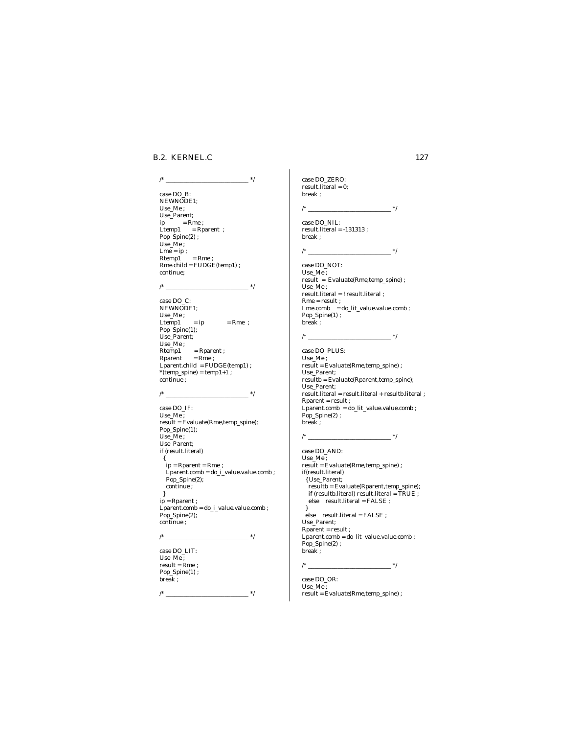### **B.2. KERNEL.C** 127

### case DO\_B: NEWNODE1; Use\_Me ; Use\_Parent;  $ip = Rme$ ; Ltemp1 = Rparent ;  $Pop_$ Spine(2) ; Use\_Me ; Lme = ip ;  $Rtemp1 = Rme;$  Rme.child = FUDGE(temp1) ; continue; /\* \_\_\_\_\_\_\_\_\_\_\_\_\_\_\_\_\_\_\_\_\_\_\_\_\_\_\_\_ \*/ case DO\_C: NEWNODE1; Use\_Me ;  $\begin{array}{lll} \text{Ltemp1} & = \text{ip} & = \text{Rme} \ ; \end{array}$  $Pop\_Spine(1);$  Use\_Parent; Use\_Me ; Rtemp1 = Rparent ;  $Rparent = Rme;$  Lparent.child = FUDGE(temp1) ;  $*(temp\_spine) = temp1+1$  ;

/\* \_\_\_\_\_\_\_\_\_\_\_\_\_\_\_\_\_\_\_\_\_\_\_\_\_\_\_\_ \*/

/\* \_\_\_\_\_\_\_\_\_\_\_\_\_\_\_\_\_\_\_\_\_\_\_\_\_\_\_\_ \*/

 result = Evaluate(Rme,temp\_spine); Pop\_Spine(1); Use\_Me ; Use\_Parent; if (result.literal) { ip = Rparent = Rme ;  $L$ parent.comb = do\_i\_value.value.comb ; Pop\_Spine(2); continue ; } ip = Rparent ; Lparent.comb = do\_i\_value.value.comb ; Pop\_Spine(2); continue ;

/\* \_\_\_\_\_\_\_\_\_\_\_\_\_\_\_\_\_\_\_\_\_\_\_\_\_\_\_\_ \*/

/\* \_\_\_\_\_\_\_\_\_\_\_\_\_\_\_\_\_\_\_\_\_\_\_\_\_\_\_\_ \*/

 case DO\_LIT: Use\_Me ;  $result = Rme$ ; Pop\_Spine(1) ; break ;

continue ;

 case DO\_IF: Use\_Me ;

 case DO\_ZERO: result.literal = 0; break ;

/\* \_\_\_\_\_\_\_\_\_\_\_\_\_\_\_\_\_\_\_\_\_\_\_\_\_\_\_\_ \*/

 case DO\_NIL: result.literal = -131313 ; break ;

/\* \_\_\_\_\_\_\_\_\_\_\_\_\_\_\_\_\_\_\_\_\_\_\_\_\_\_\_\_ \*/

 case DO\_NOT: Use\_Me ; result = Evaluate(Rme,temp\_spine) ; Use\_Me ; result.literal = ! result.literal ; Rme = result ; Lme.comb = do\_lit\_value.value.comb ; Pop\_Spine(1) ; break ;

### /\* \_\_\_\_\_\_\_\_\_\_\_\_\_\_\_\_\_\_\_\_\_\_\_\_\_\_\_\_ \*/ case DO\_PLUS: Use\_Me ; result = Evaluate(Rme,temp\_spine) ; Use\_Parent; resultb = Evaluate(Rparent,temp\_spine); Use\_Parent;

 result.literal = result.literal + resultb.literal ; Rparent = result ; Lparent.comb = do\_lit\_value.value.comb ; Pop\_Spine(2) ; break ;

### /\* \_\_\_\_\_\_\_\_\_\_\_\_\_\_\_\_\_\_\_\_\_\_\_\_\_\_\_\_ \*/

 case DO\_AND: Use  $Me$ ; result = Evaluate(Rme,temp\_spine) ; if(result.literal) { Use\_Parent; resultb = Evaluate(Rparent,temp\_spine); if (resultb.literal) result.literal = TRUE ; else result.literal = FALSE ; } else result.literal = FALSE ; Use\_Parent;  $Rparent = result;$  Lparent.comb = do\_lit\_value.value.comb ; Pop\_Spine(2) ;

# /\*  $\qquad \qquad \qquad$  \*/

break ;

 case DO\_OR: Use\_Me ; result = Evaluate(Rme,temp\_spine) ;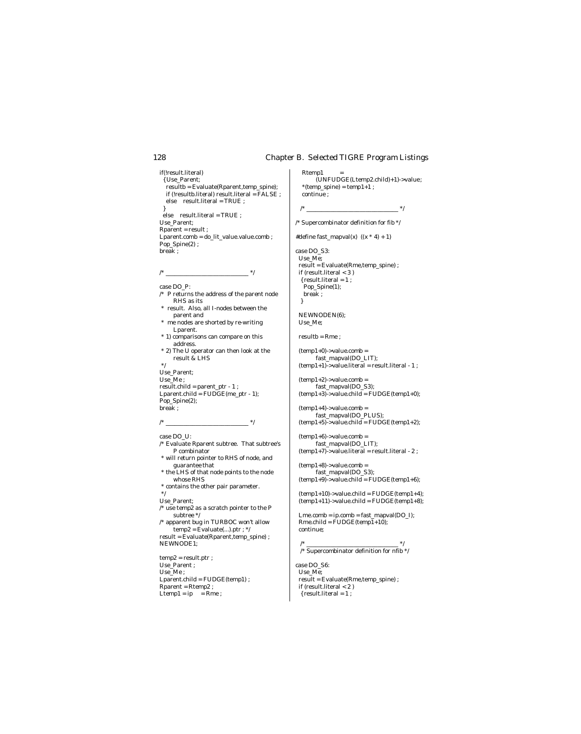if(!result.literal) { Use\_Parent; resultb = Evaluate(Rparent,temp\_spine); if (!resultb.literal) result.literal = FALSE ; else result.literal = TRUE ; } else result.literal = TRUE ; Use\_Parent; Rparent = result ; Lparent.comb = do\_lit\_value.value.comb ; Pop\_Spine(2) ;

break ;

case DO\_P:

- /\* P returns the address of the parent node RHS as its
- \* result. Also, all I-nodes between the parent and

/\* \_\_\_\_\_\_\_\_\_\_\_\_\_\_\_\_\_\_\_\_\_\_\_\_\_\_\_\_ \*/

- \* me nodes are shorted by re-writing Lparent.
- \* 1) comparisons can compare on this address.
- \* 2) The U operator can then look at the result & LHS

 \*/ Use\_Parent; Use\_Me ;  $result$ .child = parent\_ptr - 1 ;  $Lparent.cchild = FUDGE(me\_ptr - 1);$  Pop\_Spine(2); break ;

 $/$ \*  $\frac{1}{\sqrt{2}}$  \*/

case DO\_U:

- /\* Evaluate Rparent subtree. That subtree's P combinator \* will return pointer to RHS of node, and
- guarantee that \* the LHS of that node points to the node
- whose RHS
- \* contains the other pair parameter. \*/

Use\_Parent;

- $\prime^*$ use temp<br/>2 as a scratch pointer to the P subtree \*/
- /\* apparent bug in TURBOC won't allow  $temp2 = Evaluate(...).ptr; */$  result = Evaluate(Rparent,temp\_spine) ; NEWNODE1;

 temp2 = result.ptr ; Use\_Parent ; Use\_Me ; Lparent.child = FUDGE(temp1) ; Rparent = Rtemp2 ; Ltemp1 =  $ip$  =  $Rme$ ;

Rtemp1 (UNFUDGE(Ltemp2.child)+1)->value ;  $*(temp\_spine) = temp1 + 1$ ; continue ;

 $-$  \*/

/\* Supercombinator definition for fib  $*/$ 

#define fast\_mapval(x)  $((x * 4) + 1)$ 

case DO\_S3: Use\_Me; result = Evaluate(Rme,temp\_spine) ;  $if (result. literal < 3)$  $\{ result. literal = 1 : \}$  Pop\_Spine(1); break ; }

 NEWNODEN(6); Use\_Me;

 $resultb = Rme$ :

 $(temp1+0)$ ->value.comb = fast\_mapval(DO\_LIT);  $(temp1+1)$ ->value.literal = result.literal - 1 ;

 $(temp1+2)$ ->value.comb = fast\_mapval(DO\_S3);  $(temp1+3)$ ->value.child = FUDGE(temp1+0);

 $(temp1+4)$ ->value.comb = fast\_mapval(DO\_PLUS);  $(temp1+5)$ ->value.child = FUDGE(temp1+2);

 $(temp1+6)$ ->value.comb = fast\_mapval(DO\_LIT);  $(temp1+7)$ ->value.literal = result.literal - 2 ;

 $(temp1+8)$ ->value.comb = fast\_mapval(DO\_S3);  $temp1+9$ ->value.child = FUDGE(temp1+6);

 $(temp1+10)$ ->value.child = FUDGE(temp1+4);  $(temp1+11)$ ->value.child =  $FUDGE(temp1+8)$ ;

 $\label{eq:Imm:comp} {\rm Lme}.\text{comb} = \text{ip}.\text{comb} = \text{fast\_mapval}(\text{DO\_I});$  $Rme.child = FUDGE(temp1+10);$ continue;

 /\* \_\_\_\_\_\_\_\_\_\_\_\_\_\_\_\_\_\_\_\_\_\_\_\_\_\_\_\_\_\_\_ \*/ /\* Supercombinator definition for nfib \*/

case DO\_S6: Use\_Me; result = Evaluate(Rme,temp\_spine) ; if (result.literal < 2 )  $\{ result. literal = 1;$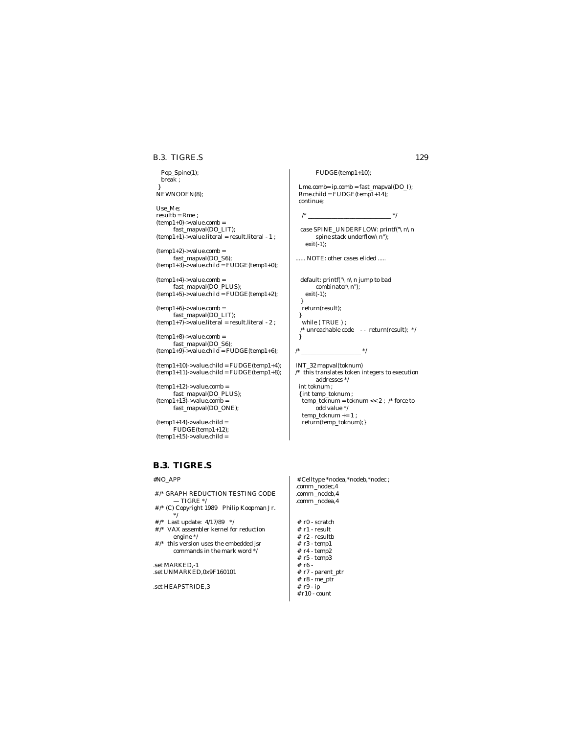### B.3. TIGRE.S 129

 Pop\_Spine(1); break ; } NEWNODEN(8);

 Use\_Me;  $resultb = Rme$ ;  $(temp1+0)$ ->value.comb = fast\_mapval(DO\_LIT); (temp1+1)->value.literal = result.literal - 1 ;

 $(temp1+2)$ ->value.comb = fast\_mapval(DO\_S6);  $(temp1+3)-value.child = FUDGE(temp1+0);$ 

 $(temp1+4)$ ->value.comb = fast\_mapval(DO\_PLUS);  $(temp1+5)$ ->value.child =  $FUDGE(temp1+2);$ 

 $(temp1+6)$ ->value.comb = fast\_mapval(DO\_LIT); (temp1+7)->value.literal = result.literal - 2 ;

 $(temp1+8)$ ->value.comb = fast\_mapval(DO\_S6);  $temp1+9$ ->value.child = FUDGE(temp1+6);

 $(temp1+10)$ ->value.child = FUDGE(temp1+4);  $(\text{temp1+11})$ ->value.child = FUDGE(temp1+8);

 $(temp1+12)$ ->value.comb = fast\_mapval(DO\_PLUS);  $(temp1+13)$ ->value.comb = fast\_mapval(DO\_ONE);

 $(temp1+14)$ ->value.child = FUDGE(temp1+12);  $(temp1+15)$ ->value.child =

# **B.3. TIGRE.S**

### #NO\_APP

- # /\* GRAPH REDUCTION TESTING CODE  $-$  TIGRE  $\frac{*}{ }$
- # /\* (C) Copyright 1989 Philip Koopman Jr. \*/
- # /\* Last update: 4/17/89 \*/ # /\* VAX assembler kernel for reduction engine \*/
- # /\* this version uses the embedded jsr commands in the mark word \*/

.set MARKED,-1 .set UNMARKED,0x9F160101

.set HEAPSTRIDE,3

FUDGE(temp1+10);

 Lme.comb= ip.comb = fast\_mapval(DO\_I); Rme.child = FUDGE(temp1+14); continue;

/\* \_\_\_\_\_\_\_\_\_\_\_\_\_\_\_\_\_\_\_\_\_\_\_\_\_\_\_\_ \*/

 case SPINE\_UNDERFLOW: printf("\n\n spine stack underflow  $\ln$ ");  $exit(-1)$ :

...... NOTE: other cases elided .....

 default: printf("\n\n jump to bad combinator\n");  $exit(-1);$ 

return(result);

}

}

 while ( TRUE ) ;  $\hspace{0.1mm}/^*$ unreachable code $\hspace{0.2mm}$  - -  $\hspace{0.1mm}$  return(result);  $\hspace{0.1mm}$  \*/ }

/\* \_\_\_\_\_\_\_\_\_\_\_\_\_\_\_\_\_\_\_\_ \*/

INT\_32 mapval(toknum) /\* this translates token integers to execution addresses \*/ int toknum ; { int temp\_toknum ;  $temp\_toknum = toknum \ll 2$ ; /\* force to odd value \*/ temp\_toknum += 1 ; return(temp\_toknum);}

 # Celltype \*nodea,\*nodeb,\*nodec ; .comm\_nodec,4 .comm \_nodeb,4 .comm \_nodea,4

 # r0 - scratch  $# r1 - result$  # r2 - resultb # r3 - temp1  $#$  r4 - temp2 # r5 - temp3 # r6 - # r7 - parent\_ptr # r8 - me\_ptr # r9 - ip # r10 - count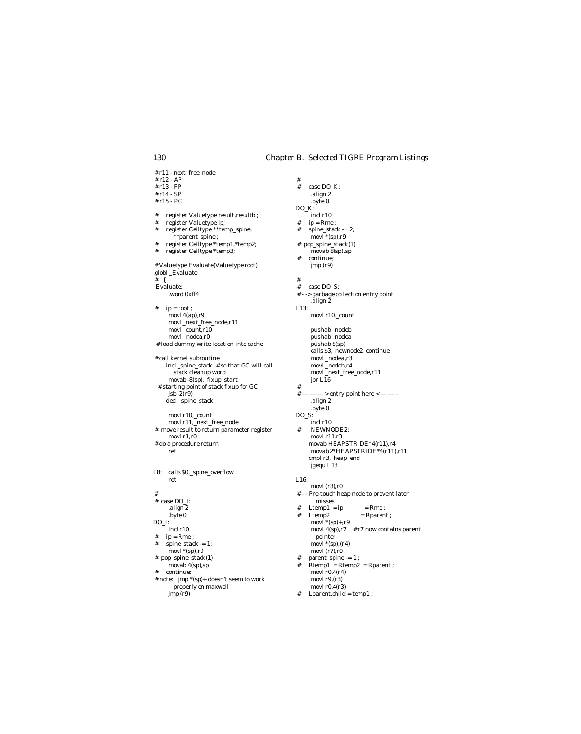#\_\_\_\_\_\_\_\_\_\_\_\_\_\_\_\_\_\_\_\_\_\_\_\_\_\_\_\_\_\_\_

 # r11 - next\_free\_node # r12 - AP # r13 - FP # r14 - SP # r15 - PC # register Valuetype result,resultb ; register Valuetype ip; # register Celltype \*\*temp\_spine, \*\*parent\_spine ; # register Celltype \*temp1, \*temp2;<br># register Celltype \*temp3; register Celltype \*temp3; # Valuetype Evaluate(Valuetype root) .globl \_Evaluate # { \_Evaluate: .word 0xff4  $#$  ip = root; movl 4(ap),r9 movl \_next\_free\_node,r11 movl \_count,r10 movl \_nodea,r0 # load dummy write location into cache # call kernel subroutine incl \_spine\_stack # so that GC will call stack cleanup word movab -8(sp),\_fixup\_start # starting point of stack fixup for GC  $jsb -2(r9)$  decl \_spine\_stack movl r10,\_count movl r11,\_next\_free\_node # move result to return parameter register movl r1,r0 # do a procedure return ret L8: calls \$0,\_spine\_overflow ret #\_\_\_\_\_\_\_\_\_\_\_\_\_\_\_\_\_\_\_\_\_\_\_\_\_\_\_\_\_\_\_ # case DO\_I: .align 2 .byte 0 DO\_I: incl r10  $\#$  ip = Rme ; # spine\_stack -= 1; movl \*(sp),r9 # pop\_spine\_stack(1) movab  $\overline{4}$ (sp),sp # continue; # note: jmp \*(sp)+ doesn't seem to work properly on maxwell jmp (r9)

 # case DO\_K: .align 2 .byte 0 DO\_K: incl r10  $ip = Rme$ ;  $spin$ e\_stack  $-2$ ;  $movl * (sp), r9$  # pop\_spine\_stack(1) movab 8(sp),sp # continue; jmp (r9) #\_\_\_\_\_\_\_\_\_\_\_\_\_\_\_\_\_\_\_\_\_\_\_\_\_\_\_\_\_\_\_  $\frac{4}{x}$  case DO\_S:<br> $\frac{4}{x}$  - > garbage co -> garbage collection entry point .align 2 L13: movl r10,\_count pushab \_nodeb pushab \_nodea pushab 8(sp) calls \$3,\_newnode2\_continue movl \_nodea,r3 movl nodeb.r4 movl \_next\_free\_node,r11 jbr L16 #  $\#$  — —  $\rightarrow$  entry point here  $\leftarrow$  — -.align 2 .byte 0 DO\_S: incl r10 # NEWNODE2; movl r11,r3 movab HEAPSTRIDE\*4(r11),r4 movab 2\*HEAPSTRIDE\*4(r11),r11 cmpl r3,\_heap\_end jgequ L13 L16: movl (r3),r0 # - - Pre-touch heap node to prevent later misses  $\begin{array}{lll} \text{\#} & \text{Ltemp1 = ip} & = \text{Rme} \; ; \end{array}$  # Ltemp2 = Rparent ; movl $\hat{i}$ \*(sp)+,r9 movl  $4(sp), r7$  # r7 now contains parent pointer  $movl$  \*(sp),(r4) movl $(r7)$ ,r0  $\#$  parent\_spine  $-$  = 1 ; # Rtemp1 = Rtemp2 = Rparent ;  $movl r0, 4(r4)$ movl r9,(r3) movl r0,4(r3)

# Lparent.child = temp1 ;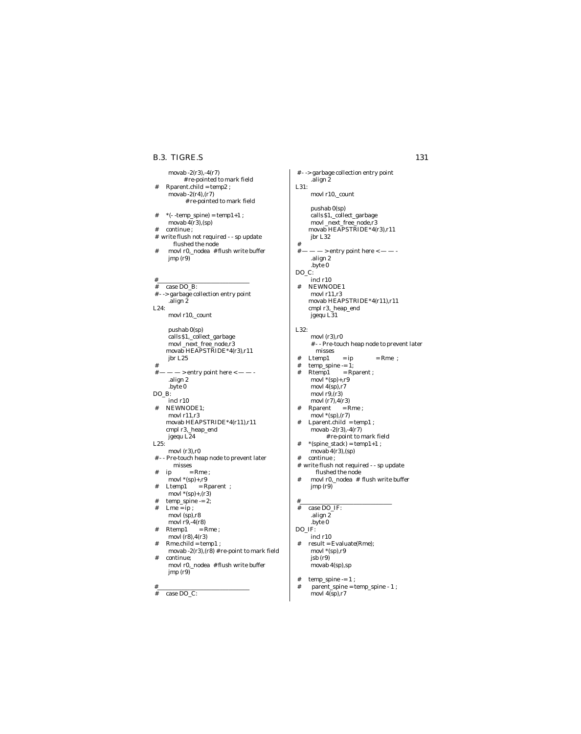### movab -2(r3),-4(r7) # re-pointed to mark field # Rparent.child = temp2 ; movab  $-2(r4)$ , $(r7)$  # re-pointed to mark field  $#$  \*( $-$  -temp\_spine) = temp1+1 ; movab 4(r3),(sp) # continue ; write flush not required - - sp update flushed the node # movl r0,\_nodea # flush write buffer jmp (r9) #\_\_\_\_\_\_\_\_\_\_\_\_\_\_\_\_\_\_\_\_\_\_\_\_\_\_\_\_\_\_\_ # case DO\_B: # - -> garbage collection entry point .align 2 L24: movl r10,\_count pushab 0(sp) calls \$1,\_collect\_garbage movl \_next\_free\_node,r3 movab HEAPSTRIDE\*4(r3),r11 jbr L25 #  $\#$  —  $\cdots$   $\cdots$  > entry point here  $<$  —  $-$  -.align 2 .byte 0 DO\_B: incl r10 # NEWNODE1; movl r11,r3 movab HEAPSTRIDE\*4(r11),r11 cmpl r3,\_heap\_end jgequ L24 L25: movl (r3),r0 # - - Pre-touch heap node to prevent later misses  $ip = Rme ;$ movl \*(sp)+,r9 # Ltemp1 = Rparent ; movl  $*(\text{sp})+, (\text{r3})$  $temp\_spine = 2$ ;  $#$  Lme = ip; movl (sp),r8 movl r9,-4(r8)  $#$  Rtemp1 = Rme;  $\frac{1}{2}$  movl (r8), 4(r3)  $Rme.child = temp1$ ; movab -2(r3),(r8) # re-point to mark field continue; movl r0,\_nodea # flush write buffer **B.3. TIGRE.S** 131

jmp (r9)

# case DO\_C:

#\_\_\_\_\_\_\_\_\_\_\_\_\_\_\_\_\_\_\_\_\_\_\_\_\_\_\_\_\_\_\_

.align 2 L31: movl r10,\_count pushab 0(sp) calls \$1,\_collect\_garbage movl \_next\_free\_node,r3 movab HEAPSTRIDE\*4(r3),r11 jbr L32  $-$  > entry point here  $<$   $-$ .align 2 .byte 0 DO\_C: incl r10 # NEWNODE1 movl r11,r3 movab HEAPSTRIDE\*4(r11),r11 cmpl r3,\_heap\_end jgequ L31 L32: movl (r3),r0 # - - Pre-touch heap node to prevent later misses  $#$  Ltemp1 = ip = Rme ;  $#$  temp\_spine  $-1$ ; # Rtemp1 = Rparent ; movl \*(sp)+,r9 movl $4(sp), r7$ movl  $r9(r3)$ movl (r7),4(r3)  $\begin{array}{lll} \text{\#} & \text{Rparent} & = \text{Rme} \; ; \end{array}$  $movl * (sp)$ ,  $(r7)$  # Lparent.child = temp1 ; movab -2(r3),-4(r7) # re-point to mark field  $*$  (spine\_stack) = temp1+1 ; movab 4(r3),(sp) continue ; # write flush not required - - sp update flushed the node # movl r0,\_nodea # flush write buffer jmp (r9) #\_\_\_\_\_\_\_\_\_\_\_\_\_\_\_\_\_\_\_\_\_\_\_\_\_\_\_\_\_\_\_ # case DO\_IF: .align 2 .byte 0 DO IF: incl r10  $#$  result = Evaluate(Rme);  $\frac{1}{2}$ movl  $*(sp), r9$ jsb (r9) movab 4(sp),sp

# - -> garbage collection entry point

 $\#$   $\#$ 

 $#$  temp\_spine  $-1$ ; # parent\_spine = temp\_spine - 1 ; movl 4(sp),r7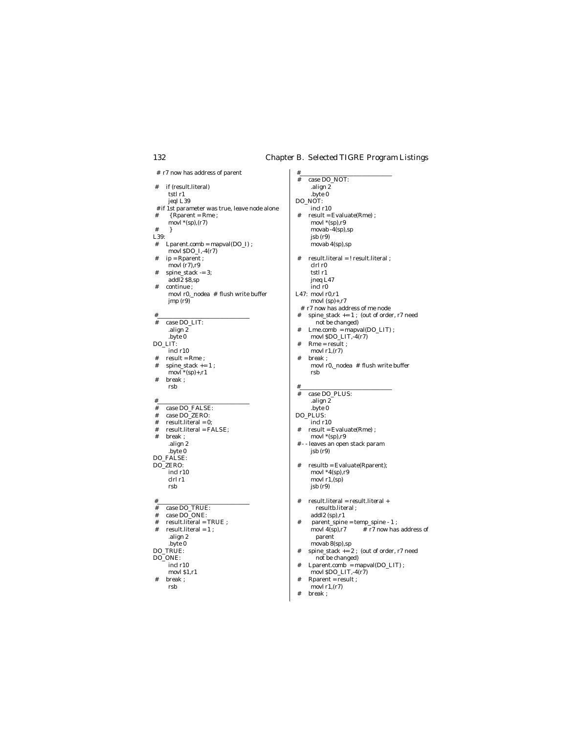# #\_\_\_\_\_\_\_\_\_\_\_\_\_\_\_\_\_\_\_\_\_\_\_\_\_\_\_\_\_\_\_ 132 Chapter B. Selected TIGRE Program Listings

# case DO\_NOT:

# r7 now has address of parent

 # if (result.literal) tstl r1 jeql L39 # if 1st parameter was true, leave node alone  $\#$  { Rparent = Rme ;  $movl$  \*(sp),(r7) # } L39:<br>#  $\frac{1}{2}$  $Lparent.comb = mapval(DO_I)$ ; movl  $$DO_I,-4(r7)$  # ip = Rparent ; movl (r7),r9  $#$  spine\_stack  $-3;$ addl2 \$8,sp # continue ; movl r0,\_nodea # flush write buffer jmp (r9) #\_\_\_\_\_\_\_\_\_\_\_\_\_\_\_\_\_\_\_\_\_\_\_\_\_\_\_\_\_\_\_ # case DO\_LIT: .align 2 .byte 0 DO\_LIT: incl r10  $#$  result = Rme;  $\#$  spine\_stack  $+= 1$ ; movl \*(sp)+,r1 # break ; rsb #\_\_\_\_\_\_\_\_\_\_\_\_\_\_\_\_\_\_\_\_\_\_\_\_\_\_\_\_\_\_\_ # case DO\_FALSE: # case  $DO_ZERO$ :<br># result.literal = 0:  $#$  result. literal = 0; # result.literal = FALSE; # break ; .align 2 .byte 0 DO\_FALSE: DO\_ZERO: incl r10 clrl r1 rsb #\_\_\_\_\_\_\_\_\_\_\_\_\_\_\_\_\_\_\_\_\_\_\_\_\_\_\_\_\_\_\_ # case DO\_TRUE: # case DO\_ONE: # result.literal = TRUE ;  $\#$  result. literal = 1; .align 2 .byte 0 DO\_TRUE: DO\_ONE: incl r10 movl \$1,r1 # break ; rsb

| .align 2                                         |
|--------------------------------------------------|
| .byte 0                                          |
| DO_NOT:                                          |
| incl r10                                         |
| result = Evaluate(Rme);<br>#                     |
| movl $*(sp), r9$                                 |
| movab $-4$ (sp),sp                               |
| isb(r9)                                          |
|                                                  |
| movab $4(sp), sp$                                |
| #<br>result.literal = ! result.literal ;         |
| clrl r0                                          |
| tstl r1                                          |
|                                                  |
| jneq L47                                         |
| incl r0                                          |
| L47: $movl r0,r1$                                |
| movl $(sp)+$ ,r7                                 |
| r7 now has address of me node<br>#               |
| spine_stack $+= 1$ ; (out of order, r7 need<br># |
| not be changed)                                  |
| $Lme.comb = mapval(DO_LIT)$ ;<br>#               |
| movl \$DO_LIT,-4(r7)                             |
| $Rme = result$ ;<br>#                            |
| movl $r1,(r7)$                                   |
| break :<br>#                                     |
| movl r0,_nodea # flush write buffer              |
| rsb                                              |
|                                                  |
| #                                                |
| case DO PLUS:<br>#                               |
| .align 2                                         |
| .byte 0                                          |
| DO PLUS:                                         |
| incl r10                                         |
| $result = Evaluate(Rme)$ ;<br>#                  |
|                                                  |
| movl $*(sp), r9$                                 |
| # - - leaves an open stack param                 |
| jsb(r9)                                          |
|                                                  |
| resultb = Evaluate(Rparent);<br>#                |
| movl $*4(sp), r9$                                |
| movl $r1$ , $(sp)$                               |
| isb(r9)                                          |
|                                                  |
| #<br>result.literal = result.literal +           |
| resultb.literal ;                                |
| $addl2$ (sp), r1                                 |
| parent_spine = temp_spine - 1;<br>#              |
| # r7 now has address of<br>movl $4(sp), r7$      |
| parent                                           |
| movab $8(sp)$ , sp                               |
| spine_stack $+= 2$ ; (out of order, r7 need<br># |
| not be changed)                                  |
| $Lparent.comb = mapval(DO_LIT)$ ;<br>#           |
| movl \$DO_LIT,-4(r7)                             |
|                                                  |

- Rparent = result ;
- movl  $r1$ , $(r7)$ # break ;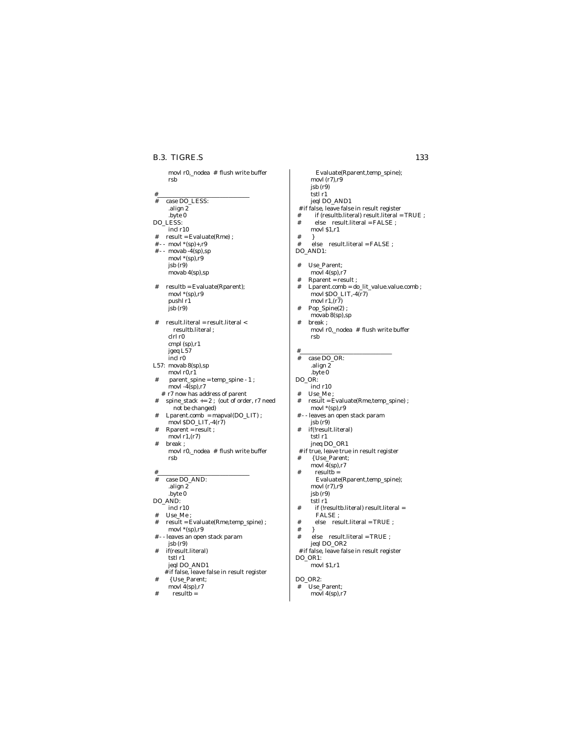movl r0,\_nodea # flush write buffer

|        | rsb                                                            |
|--------|----------------------------------------------------------------|
|        |                                                                |
| #<br># | case DO_LESS:                                                  |
|        | .align 2                                                       |
|        | .byte 0                                                        |
|        | DO_LESS:                                                       |
|        | incl r10                                                       |
| #      | result = Evaluate(Rme);                                        |
| # - -  | movl $*(sp)+, r9$                                              |
|        | $# -$ movab -4(sp),sp<br>movl $*(sp), r9$                      |
|        | isb(r9)                                                        |
|        | movab 4(sp),sp                                                 |
|        |                                                                |
| #      | resultb = Evaluate(Rparent);                                   |
|        | movl $*(sp), r9$<br>pushl r1                                   |
|        | isb(r9)                                                        |
|        |                                                                |
| #      | result.literal = result.literal <                              |
|        | resultb.literal;                                               |
|        | clrl r0                                                        |
|        | cmpl (sp),r1                                                   |
|        | jgeq L57<br>incl r0                                            |
|        | L57: movab 8(sp), sp                                           |
|        | movl r0,r1                                                     |
| #      | parent_spine = temp_spine - 1;                                 |
|        | movl $-4$ (sp),r7                                              |
| #      | # r7 now has address of parent                                 |
|        | spine_stack $+= 2$ ; (out of order, r7 need<br>not be changed) |
| #      | Lparent.comb = mapval(DO_LIT);                                 |
|        | movl \$DO_LIT,-4(r7)                                           |
| #      | Rparent = result ;                                             |
|        | movl $r1,(r7)$                                                 |
| #      | break;                                                         |
|        | movl r0,_nodea # flush write buffer<br>rsb                     |
|        |                                                                |
| #      |                                                                |
| #      | case DO_AND:                                                   |
|        | .align 2                                                       |
|        | .byte 0<br>DO AND:                                             |
|        | incl r10                                                       |
| #      | Use_Me ;                                                       |
| #      | result = Evaluate(Rme,temp_spine) ;                            |
|        | movl $*(sp), r9$                                               |
|        | # - - leaves an open stack param                               |
| #      | isb(r9)<br>if(result.literal)                                  |
|        | tstl r1                                                        |
|        | jeql DO_AND1                                                   |
|        | # if false, leave false in result register                     |
| #      | { Use_Parent;                                                  |
|        | movl $4(sp), r7$                                               |
| #      | resultb =                                                      |
|        |                                                                |

Evaluate(Rparent,temp\_spine); movl (r7),r9 jsb (r9) tstl r1 jeql DO\_AND1 # if false, leave false in result register # if (resultb.literal) result.literal = TRUE ;<br># else result.literal = FALSE : else result.literal = FALSE ; movl \$1,r1  $#$ #  $\text{else}$  result.literal = FALSE ; DO\_AND1: # Use\_Parent; movl 4(sp),r7 # Rparent = result ; # Lparent.comb = do\_lit\_value.value.comb ; movl \$DO\_LIT,-4(r7) movl  $r1$ ,  $(r7)$  # Pop\_Spine(2) ; movab 8(sp),sp # break ; movl r0,\_nodea # flush write buffer rsb #\_\_\_\_\_\_\_\_\_\_\_\_\_\_\_\_\_\_\_\_\_\_\_\_\_\_\_\_\_\_\_ # case DO\_OR: .align 2 .byte 0 DO\_OR: incl r10 # Use\_Me ; # result = Evaluate(Rme,temp\_spine) ; movl \*(sp),r9 # - - leaves an open stack param jsb (r9) # if(!result.literal) tstl r1 jneq DO\_OR1 # if true, leave true in result register # { Use\_Parent; movl $\frac{1}{4}$ (sp),r7  $#$  resultb = Evaluate(Rparent,temp\_spine); movl (r7),r9 jsb (r9) tstl r1 # if (!resultb.literal) result.literal = FALSE ;  $#$  else result.literal = TRUE ;<br> $#$  # } # else result.literal = TRUE ; jeql DO\_OR2 # if false, leave false in result register DO\_OR1: movl \$1,r1 DO\_OR2:<br># Use\_l Use\_Parent; movl 4(sp),r7 B.3. TIGRE.S 133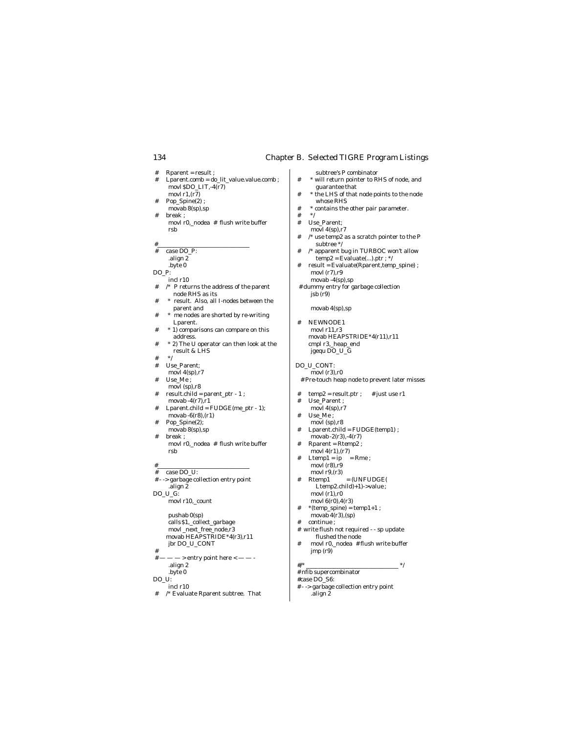- # Rparent = result ;
- # Lparent.comb = do\_lit\_value.value.comb ; movl  $$DO_LIT,-4(r7)$ movl  $r1.(r7)$
- # Pop\_Spine(2) ;  $\frac{r_{r-1}}{r_{r-1}}$  8(sp), sp
- # break ; movl r0,\_nodea # flush write buffer rsb

#\_\_\_\_\_\_\_\_\_\_\_\_\_\_\_\_\_\_\_\_\_\_\_\_\_\_\_\_\_\_\_

- # case DO\_P:
- .align 2
- .byte 0 DO\_P:

incl r10

- # /\* P returns the address of the parent node RHS as its
- # \* result. Also, all I-nodes between the parent and
- \* me nodes are shorted by re-writing Lparent.
- # \* 1) comparisons can compare on this address.
- # \* 2) The U operator can then look at the result & LHS
- # \*/
- # Use\_Parent;
- movl 4(sp),r7 Use\_Me;
- movl (sp),r8
- $result.child = parent\_ptr$   $1$  ; movab  $-4(r7)$ , $r1$
- $Lparent.child = FUDGE(me\_ptr 1);$
- movab -6(r8),(r1) # Pop\_Spine(2);
- movab 8(sp),sp # break ;
- movl r0,\_nodea # flush write buffer rsb

#\_\_\_\_\_\_\_\_\_\_\_\_\_\_\_\_\_\_\_\_\_\_\_\_\_\_\_\_\_\_\_

 $\frac{1}{2} + \frac{\csc(1)}{\csc(1)} = \frac{1}{2}$ -> garbage collection entry point .align 2 DO\_U\_G: movl r10,\_count

> pushab 0(sp) calls \$1,\_collect\_garbage movl\_next\_free\_node,r3 movab HEAPSTRIDE\*4(r3),r11 jbr DO\_U\_CONT

- #
- $-$  > entry point here  $<$   $-$ .align 2
- .byte 0
- DO\_U:
- incl r10
- # /\* Evaluate Rparent subtree. That

subtree's P combinator

- $^\ast$  will return pointer to RHS of node, and guarantee that
- # \* the LHS of that node points to the node whose RHS
- # \* contains the other pair parameter.
- $#$
- # Use\_Parent; movl 4(sp),r7
- # /\* use temp2 as a scratch pointer to the P subtree \*/
- # /\* apparent bug in TURBOC won't allow  $temp2 = Evaluate(...).ptr; */$
- # result = Evaluate(Rparent,temp\_spine) ; movl (r7),r9 movab -4(sp),sp
- # dummy entry for garbage collection jsb (r9)

movab 4(sp),sp

- # NEWNODE1 movl r11,r3 movab HEAPSTRIDE\*4(r11),r11 cmpl r3,\_heap\_end jgequ DO\_U\_G
- DO\_U\_CONT:
- movl $(r3)$ , $r0$ # Pre-touch heap node to prevent later misses
- $\textbf{temp2} = \textbf{result}.\textbf{ptr} \; ; \quad \ \text{\# just use r1}$
- Use\_Parent ; movl 4(sp),r7
- # Use\_Me ;
- movl (sp),r8
- # Lparent.child = FUDGE(temp1) ; movab -2(r3),-4(r7)
- # Rparent = Rtemp2 ;
- movl  $4(r1)$ ,  $(r7)$ <br>Ltemp1 = ip = Rme ;
- $Ltemp1 = ip$ movl $(r8)$ , r $9$
- movl r9, (r3)<br>Rtemp1  $#$  Rtemp1 = (UNFUDGE) Ltemp2.child)+1)->value; movl $(r1), r0$
- movl 6(r0),4(r3)
- $*$  (temp\_spine) = temp1+1 ; movab  $4(r3)$ , (sp) continue :
- # write flush not required - sp update flushed the node
- # movl r0,\_nodea # flush write buffer jmp (r9)

 #/\* \_\_\_\_\_\_\_\_\_\_\_\_\_\_\_\_\_\_\_\_\_\_\_\_\_\_\_\_\_\_\_ \*/ # nfib supercombinator

#case DO\_S6:

 # - -> garbage collection entry point .align 2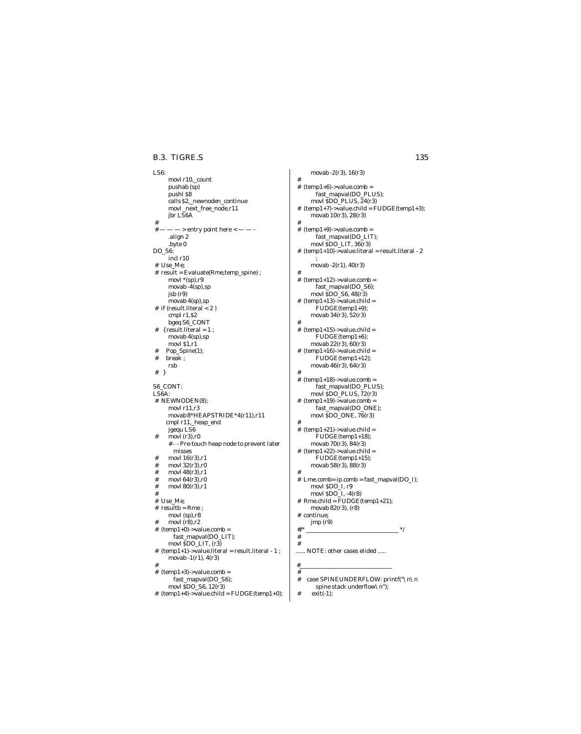### B.3. TIGRE.S 135

LS6: movl r10,\_count pushab (sp) pushl \$8 calls \$2,\_newnoden\_continue movl \_next\_free\_node,r11 jbr LS6A #  $-$  > entry point here  $<$   $-$ .align 2 .byte 0 DO\_S6: incl r10 # Use\_Me; # result = Evaluate(Rme,temp\_spine) ; movl \*(sp),r9 movab -4(sp),sp jsb (r9) movab 4(sp),sp # if (result.literal < 2 ) cmpl r1,\$2 bgeq S6\_CONT # { result.literal = 1 ; movab 4(sp),sp movl \$1,r1 # Pop\_Spine(1); # break ; rsb # } S6\_CONT: LS6A: # NEWNODEN(8); movl r11,r3 movab 8\*HEAPSTRIDE\*4(r11),r11 cmpl r11,\_heap\_end jgequ LS6  $#$  movl (r3), r0 # - - Pre-touch heap node to prevent later misses  $movl 16(r3), r1$  $\#$  movl 32 $(r3)$ , r0 movl 48(r3),r1 movl  $64(r3)$ ,r0 movl 80(r3),r1 # # Use\_Me;  $#$  resultb = Rme ; movl (sp),r8  $movl(r8),r2$  $# (temp1+0)-\ge value.comb =$ fast\_mapval(DO\_LIT); movl \$DO\_LIT, (r3)  $# (temp1+1)$ ->value.literal = result.literal - 1; movab -1(r1), 4(r3) #  $#$  (temp1+3)->value.comb =

fast\_mapval(DO\_S6); movl \$DO\_S6, 12(r3)

#  $(temp1+4)$ ->value.child = FUDGE(temp1+0);

movab -2(r3), 16(r3) #  $#$  (temp1+6)->value.comb = fast\_mapval(DO\_PLUS); movl \$DO\_PLUS, 24(r3) #  $(temp1+7)$ ->value.child = FUDGE(temp1+3); movab 10(r3), 28(r3) # # (temp1+9)->value.comb = fast\_mapval(DO\_LIT); movl \$DO\_LIT, 36(r3)  $\#$  (temp1+10)->value.literal = result.literal -  $2$ ; movab -2(r1), 40(r3) #  $#$  (temp1+12)->value.comb = fast\_mapval(DO\_S6); movl \$DO\_S6, 48(r3)  $#$  (temp1+13)->value.child = FUDGE(temp1+9); movab 34(r3), 52(r3) #  $\#$  (temp1+15)->value.child = FUDGE(temp1+6); movab 22(r3), 60(r3)  $#$  (temp1+16)->value.child = FUDGE(temp1+12); movab 46(r3), 64(r3) #  $#$  (temp1+18)->value.comb = fast\_mapval(DO\_PLUS); movl \$DO\_PLUS, 72(r3)  $# (temp1+19)$ ->value.comb = fast\_mapval(DO\_ONE); movl \$DO\_ONE, 76(r3) #  $#$  (temp1+21)->value.child = FUDGE(temp1+18); movab 70(r3), 84(r3)  $# (temp1+22)$ ->value.child = FUDGE(temp1+15); movab 58(r3), 88(r3) # # Lme.comb= ip.comb = fast\_mapval(DO\_I); movl \$DO\_I, r9 movl \$DO\_I, -4(r8) # Rme.child = FUDGE(temp1+21); movab 82(r3), (r8) # continue; jmp (r9) #/\* \_\_\_\_\_\_\_\_\_\_\_\_\_\_\_\_\_\_\_\_\_\_\_\_\_\_\_\_\_\_\_ \*/ # # ...... NOTE: other cases elided .....

#\_\_\_\_\_\_\_\_\_\_\_\_\_\_\_\_\_\_\_\_\_\_\_\_\_\_\_\_\_\_\_

#

- # case SPINEUNDERFLOW: printf("\n\n spine stack underflow\n");
- # exit(-1);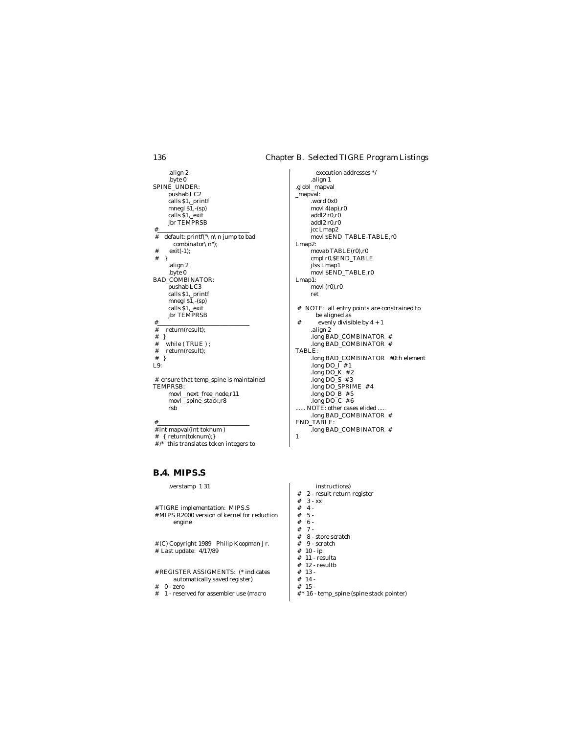.align 2 .byte 0 SPINE\_UNDER: pushab LC2 calls \$1,\_printf mnegl \$1,-(sp) calls \$1,\_exit jbr TEMPRSB #\_\_\_\_\_\_\_\_\_\_\_\_\_\_\_\_\_\_\_\_\_\_\_\_\_\_\_\_\_\_\_ # default: printf("\n\n jump to bad combinator\n"); # exit(-1); # } .align 2 .byte 0 BAD\_COMBINATOR: pushab LC3 calls \$1,\_printf mnegl \$1,-(sp) calls \$1,\_exit jbr TEMPRSB #\_\_\_\_\_\_\_\_\_\_\_\_\_\_\_\_\_\_\_\_\_\_\_\_\_\_\_\_\_\_\_ # return(result);  $\begin{array}{c} \# \\ \# \\ \end{array}$  } # while (TRUE);<br># return(result): return(result): # } L9: # ensure that temp\_spine is maintained TEMPRSB: movl \_next\_free\_node,r11 movl \_spine\_stack,r8 rsb #\_\_\_\_\_\_\_\_\_\_\_\_\_\_\_\_\_\_\_\_\_\_\_\_\_\_\_\_\_\_\_

# int mapval(int toknum )

 # { return(toknum);} # /\* this translates token integers to

# **B.4. MIPS.S**

.verstamp 1 31

```
 # TIGRE implementation: MIPS.S
 # MIPS R2000 version of kernel for reduction
      engine
```
 # (C) Copyright 1989 Philip Koopman Jr. # Last update: 4/17/89

```
 # REGISTER ASSIGMENTS: (* indicates
     automatically saved register)
```
- $\begin{array}{cc} \text{\#} & 0 \text{- zero} \\ \text{\#} & 1 \text{- reser} \end{array}$
- 1 reserved for assembler use (macro

execution addresses \*/ .align 1 .globl \_mapval \_mapval: .word 0x0 movl 4(ap),r0 addl $2 r0,r0$ addl2 r0,r0 jcc Lmap2 movl \$END\_TABLE-TABLE,r0 Lmap2: movab TABLE(r0),r0 cmpl r0,\$END\_TABLE jlss Lmap1 movl \$END\_TABLE,r0 Lmap1: movl (r0),r0 ret # NOTE: all entry points are constrained to be aligned as evenly divisible by  $4 + 1$ .align 2 .long BAD\_COMBINATOR # .long BAD\_COMBINATOR # TABLE: .long BAD\_COMBINATOR #0th element .long  $DO_I$  # 1 .long  $DO_K$  # 2 .long  $DO_S$  # 3 .long DO\_SPRIME # 4 . $long DO_B$  # 5 .long  $DO_C$  # 6 ...... NOTE: other cases elided ..... .long BAD\_COMBINATOR # END\_TABLE: .long BAD\_COMBINATOR # 1

instructions)  $\begin{array}{ll} \text{\#} & 2 \text{ - result return register} \\ \text{\#} & 3 \text{ - xx} \end{array}$  $\begin{array}{cc} \# & 3 - x x \\ \# & 4 \\ \# & 5 \end{array} .$  $4 -$  # 5 - # 6 - # 7 -  $# 8 - store scratch$ <br> $# 9 - scratch$  $\stackrel{+}{\phantom{}_{\cancel{+}}} 9$  - scratch<br> $\stackrel{+}{\phantom{}_{\cancel{+}}}\ 10$  - ip  $# 10 - ip$ <br> $# 11 - res$  $# 11 - resulta$ <br> $# 12 - resultb$ 12 - resultb  $\begin{array}{cc} \text{\#} & 13 \\ \text{\#} & 14 \end{array} \text{\large .}$  $\begin{array}{cc} \text{\#} & 14 \\ \text{\#} & 15 \end{array} \text{\large .}$  $15 -$ 

# \* 16 - temp\_spine (spine stack pointer)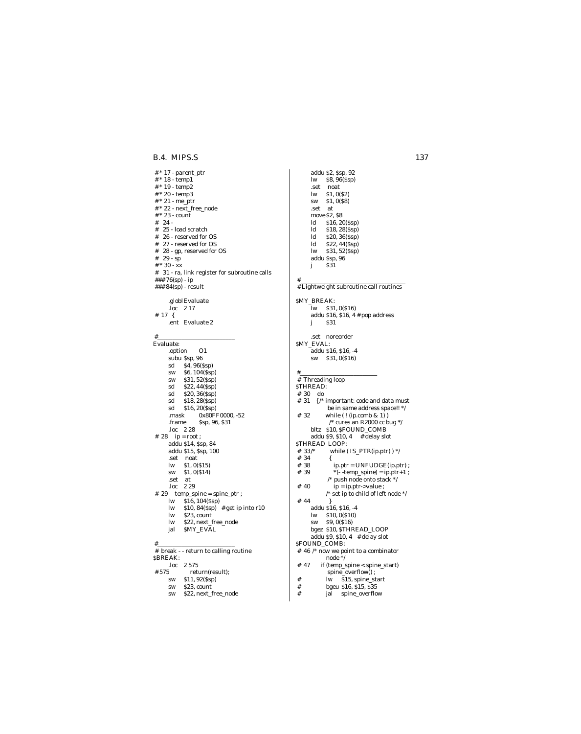B.4. MIPS.S

# \* 17 - parent\_ptr  $\#$ \* 18 - temp<br/>1  $\overset{\shortparallel}{\#}$  \* 19 - temp2 # \* 20 - temp3  $# * 21$  - me\_ptr<br> $# * 22$  - next\_free\_node  $# * 23$  - count # 24 - $\#$  25 - load scratch  $\#$   $\,$  26 - reserved for OS # 27 - reserved for OS  $\#$  28 - gp, reserved for OS # 29 -  $sp$ # \* 30 -  $\dot{\mathbf{x}}$ x # 31 - ra, link register for subroutine calls ### 76(sp) - ip ### 84(sp) - result .globlEvaluate  $\log$  2 17 # 17  $\{$ .ent Evaluate 2 Evaluate:  $\Omega$ .option subu \$sp, 96 \$6,104(\$sp) **SW**  $$31, 52(Ssp)$ **SW**  $$22, 44(Ssp)$  $\operatorname{\sf sd}$ \$20, 36(Ssp)  $\operatorname{\sf sd}$  $\operatorname{\textbf{sd}}$  $$18, 28(Ssp)$  $\operatorname{\sf sd}$  $$16, 20(Ssp)$ 0x80FF0000, -52 .mask .frame Ssp, 96, \$31  $loc$  2 28 # 28  $ip = root$ ; addu \$14, \$sp, 84 addu \$15, \$sp, 100 .set noat  $$1,0(S15)$  $\mathbf{lw}$  $$1,0(S14)$ sw .set  $at$ .loc  $229$  $# 29$  temp\_spine = spine\_ptr;  $\mathbf{lw}$  $$16, 104(Ssp)$  $\mathbf{lw}$ \$10,  $84(Ssp)$  # get ip into r10  $\mathbf{w}$ \$23, count \$22, next\_free\_node  $\mathbf{w}$ SMY\_EVAL jal # break - - return to calling routine **SBREAK:** .loc 2575 # 575 return(result); \$11,92(\$sp)  $\operatorname{\textbf{sw}}$ 

- sw \$23, count
- \$22, next\_free\_node sw

addu \$2, \$sp, 92 lw \$8,96(\$sp) .set noat  $$1,0(S2)$  $\mathbf{lw}$  $$1,0(S8)$ **SW** .set  $at$ move \$2, \$8  $\operatorname{ld}$ \$16, 20(\$sp)  $\operatorname{ld}$  $$18, 28(Ssp)$  $\operatorname{Id}$ \$20, 36(\$sp)  $\mathbf{Id}$ \$22, 44(\$sp)  $\mathbf{lw}$  $$31, 52(Ssp)$ addu Ssp, 96  $\overline{331}$  $\mathbf{j}$ # Lightweight subroutine call routines SMY\_BREAK: lw \$31,0(\$16) addu \$16, \$16, 4 # pop address \$31  $j$ .set noreorder<br>SMY\_EVAL:  $\frac{1}{2}$ addu \$16, \$16, -4 sw \$31,0(\$16)  $#$  $#$  Threading loop STHREAD:  $\#$  30  $\,$  do  $\,$ # 31  $\{$  /\* important: code and data must be in same address space!! \*/  $#32$ while  $($ ! (ip.comb & 1))  $\prime^*$  cures an R2000 cc bug  $^*/$ bltz \$10, \$FOUND\_COMB addu \$9, \$10, 4 # delay slot<br>\$THREAD\_LOOP: while  $( IS_PTR(ip.ptr)$  ) \*/ #  $33$ /\*  $# 34$ ₹  $ip. ptr = UNFUDGE (ip. ptr);$ # 38 # 39 \*( $\cdot$ -temp\_spine) = ip.ptr+1; /\* push node onto stack  $*/$ #  $40$  $ip = ip.ptr$ -value; /\* set ip to child of left node \*/ #  $44$ addu \$16, \$16, -4  $lw$  \$10, 0(\$10) sw \$9,00\$16) bgez  $$10, $THREAD\_LOOP$ addu \$9, \$10, 4 # delay slot \$FOUND\_COMB: # 46 /\* now we point to a combinator<br>node \*/ # 47 if (temp\_spine < spine\_start) spine\_overflow $\vec{0}$ ;  $#$ 

lw \$15, spine\_start

- bgeu \$16, \$15, \$35
- jal spine\_overflow

 $^{\#}$ 

 $#$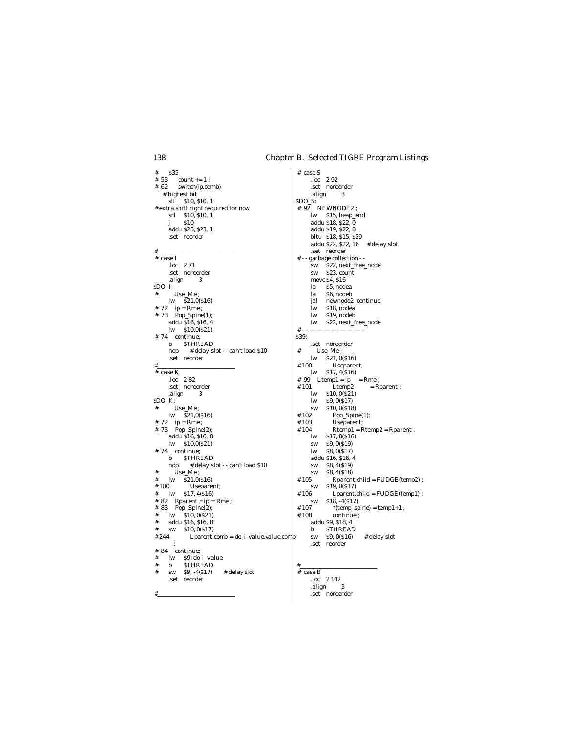$\pm$  $$35:$ #  $53$  count += 1;  $# 62$ switch(ip.comb) # highest bit  $s\tilde{1}$  \$10, \$10, 1 # extra shift right required for now  $\frac{1}{\text{sr}}$   $\frac{1}{\text{sr}}$   $\frac{1}{\text{sr}}$   $\frac{1}{\text{sr}}$   $\frac{1}{\text{sr}}$   $\frac{1}{\text{sr}}$  $$10$  $\mathbf{i}$ addu \$23, \$23, 1 .set  $\;$  reorder  $# \; case I$ .loc 271 .set noreorder .align  $\overline{3}$ \$DO\_I: Use\_Me;  $#$  $lw$   $\bar{S}21,0(S16)$ # 72 ip = Rme ;<br># 73 Pop\_Spine(1); addu \$16, \$16, 4  $\mbox{lw} \quad \mbox{$10,0 ($21$)}$ # 74 continue; b STHREAD # delay slot - - can't load \$10 nop .set reorder  $\frac{1}{4}$  case K  $loc$  282 .set noreorder .align  $\sqrt{3}$ SDO\_K:  $\ensuremath{\text{Use\_Me}}$  ;  $\#$  $lw$   $$21,0(S16)$ # 72  $ip = Rme$ ; # 73 Pop\_Spine(2); addu \$16, \$16, 8  $lw$  \$10,0(\$21) # 74 continue: b STHREAD # delay slot - - can't load \$10 nop  $Use_Me$ ;  $#$  $\overline{\text{S21,0}}(816)$  $#$ #100 Useparent;  $#$  $\mathbf{lw}$  $$17, 4(S16)$  $# 82$  Rparent = ip = Rme; # 83 Pop\_Spine(2);  $#$  $lw$  \$10, 0(\$21) addu \$16, \$16, 8  $#$  $$10.0(S17)$  $#$ **SW** Lparent.comb = do\_i\_value.value.comb  $#244$  $\cdot$ # 84 continue;  $\operatorname{lw}$ \$9, do\_i\_value  $#$  $\#$  $\mathbf b$ **STHREAD**  $#$  $$9, -4(S17)$ # delay slot  $\#$ sw .set reorder

 $#$  case S  $loc$  292 .set noreorder .align 3 SDO\_S:  $# 92$  NEWNODE2; lw \$15, heap\_end addu \$18, \$22, 0 addu \$19, \$22, 8 bltu \$18, \$15, \$39 addu \$22, \$22, 16 # delay slot .set  $\;$  reorder # - - garbage collection - -\$22, next\_free\_node  $sw$ **SW** \$23, count move \$4, \$16 \$5, nodea la \$6, nodeb la newnode2\_continue jal lw  $$18, nodea$  $\mathbf{lw}$ \$19, nodeb  $\mathbf{lw}$ \$22, next\_free\_node  $\pm$ S39: .set noreorder Use Me:  $#$  $lw$  \$21, 0(\$16)  $#100$ Useparent:  $\mathbf{w}$  $$17, 4(S16)$ # 99 Ltemp1 = ip  $=$  Rme;  $#101$  $Ltemp2$  $=$  Rparent ;  $$10, 0(S<sub>21</sub>)$  $\operatorname{lw}$  $\mathbf{lw}$ \$9,0(\$17)  $$10, 0(S18)$ sw #  $102$ Pop\_Spine(1);  $#103$ Useparent;  $\label{eq:1} \mathbf{Rtempl}=\mathbf{Rtemp2}=\mathbf{Rparent}\;;$ #  $104$  $$17, 8(S16)$ <br> $$9, 0(S19)$  $\mathbf{w}$ **SW** \$8,0(\$17)  $\mathbf{w}$ addu \$16, \$16, 4 \$8, 4(\$19) **SW**  $$8, 4(S18)$ **SW** #  $105$  $Rparent.child = FUDGE(temp2)$ ; **SW**  $$19,0(S17)$  $Lparent.child = FUDGE(temp1);$  $#106$  $$18, -4(517)$ **SW**  $# 107$  $*(temp\_spine) = temp1+1 ;$  $#108$ continue; addu \$9, \$18, 4 **STHREAD**  $\mathbf b$ \$9,0(\$16) # delay slot  $\operatorname{\textbf{SW}}$ .set reorder

### $# \case B$ .loc 2 142 .align  $\overline{\mathbf{3}}$ .set  $noreorder$

### 138

 $#$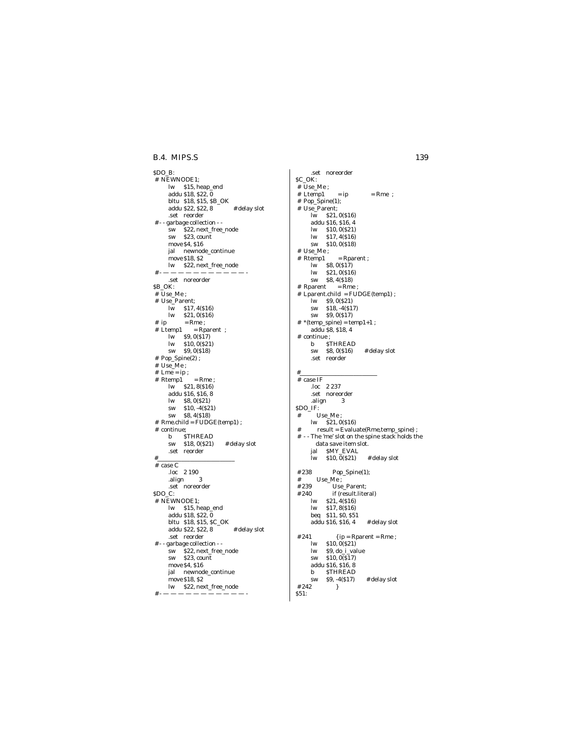### **B.4. MIPS.S** 139

\$DO\_B: # NEWNODE1; lw \$15, heap\_end addu \$18, \$22, 0 bltu \$18, \$15, \$B\_OK addu \$22, \$22, 8 # delay slot .set reorder # - - garbage collection - -  $$22$ , next\_free\_node sw \$23, count move \$4, \$16 jal newnode\_continue move \$18, \$2 lw \$22, next\_free\_node # - — — — — — — — — — — — - .set noreorder \$B\_OK: # Use\_Me ; # Use\_Parent; lw \$17, 4(\$16) lw \$21, 0(\$16)  $# \quad ip = Rme ;$  # Ltemp1 = Rparent ; lw \$9, 0(\$17) lw \$10, 0(\$21) sw \$9, 0(\$18) # Pop\_Spine(2) ; # Use\_Me ;  $#$  Lme = ip ;  $#$  Rtemp1 = Rme; lw \$21, 8(\$16) addu \$16, \$16, 8 lw \$8, 0(\$21) sw \$10, -4(\$21) sw \$8, 4(\$18) # Rme.child = FUDGE(temp1) ; # continue; b \$THREAD sw \$18, 0(\$21) # delay slot .set reorder #\_\_\_\_\_\_\_\_\_\_\_\_\_\_\_\_\_\_\_\_\_\_\_\_\_\_ # case C .loc 2 190 .align 3 .set noreorder \$DO\_C: # NEWNODE1; lw \$15, heap\_end addu \$18, \$22, 0 bltu \$18, \$15, \$C\_OK addu  $$22, $22, 8$  # delay slot .set reorder # - - garbage collection - sw \$22, next\_free\_node<br>sw \$23, count  $$23, count$ move \$4, \$16 jal newnode\_continue move \$18, \$2 lw \$22, next\_free\_node

# - — — — — — — — — — — — -

.set noreorder \$C\_OK: # Use\_Me ;  $# Ltemp1 = ip = Rme ;$  # Pop\_Spine(1); # Use\_Parent;  $\overline{\text{lw}}$  \$21, 0(\$16) addu \$16, \$16, 4 lw \$10, 0(\$21) lw \$17, 4(\$16) sw \$10, 0(\$18) # Use\_Me ; # Rtemp1 = Rparent ; lw \$8, 0(\$17) lw \$21, 0(\$16) sw \$8, 4(\$18) # Rparent = Rme ;  $#$  Lparent.child = FUDGE(temp1) ; lw \$9, 0(\$21) sw \$18, -4(\$17) sw \$9, 0(\$17)  $# * (temp\_spine) = temp1+1 ;$ addu \$8, \$18, 4 # continue ; b \$THREAD sw \$8, 0(\$16) # delay slot .set reorder #\_\_\_\_\_\_\_\_\_\_\_\_\_\_\_\_\_\_\_\_\_\_\_\_\_\_ # case IF .loc 2 237 .set noreorder .align 3 \$DO\_IF:  $\#$   $\;$  Use\_Me ; lw \$21, 0(\$16) # result = Evaluate(Rme,temp\_spine) ;  $\#$  - - The 'me' slot on the spine stack holds the data save item slot. jal \$MY\_EVAL lw \$10, 0(\$21) # delay slot  $\#$  238 Pop\_Spine(1);<br> $\#$  Use Me :  $#$  Use\_Me;<br> $#239$  Use # 239 Use\_Parent;<br># 240 if (result.lite)  $\begin{array}{ll}\n 0 & \text{if (result.literal)} \\
 \text{lw} & \text{$21, 4 ($16)}\n \end{array}$ lw \$21, 4(\$16) lw \$17, 8(\$16) beq \$11, \$0, \$51 addu \$16, \$16, 4 # delay slot  $# 241$  { ip = Rparent = Rme ; lw \$10, 0(\$21) lw \$9, do\_i\_value<br>sw \$10, 0(\$17)  $$10, 0(817)$ addu \$16, \$16, 8 **STHREAD** sw  $$9, -4(S17)$  # delay slot<br>2 }  $# 242$ \$51: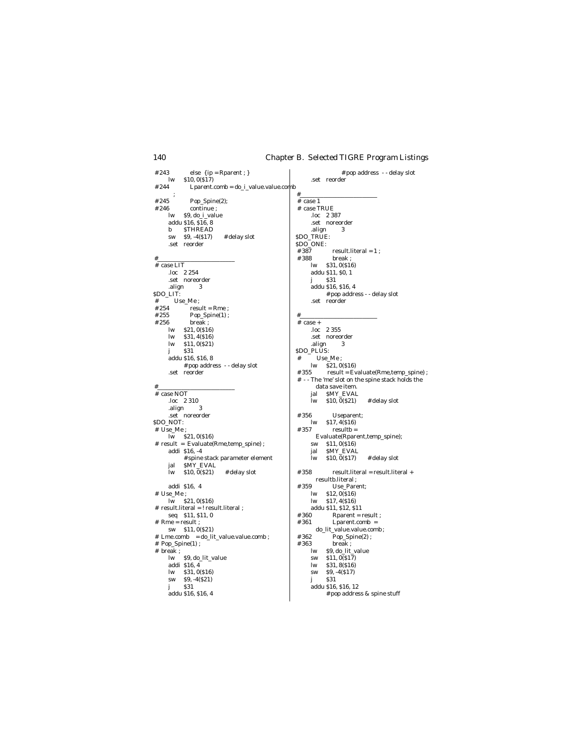else  $\{ {\rm ip = Rparent}\; ; \}$ # pop address - - delay slot  $# 243$  $\mathbf{w}$  $$10, 0(S17)$ .set reorder  $#244$ Lparent.comb = do\_i\_value.value.comb  $#$  $\cdot$ # 245 Pop\_Spine(2);  $# case 1$  $#246$  $\frac{1}{1}$  continue; # case TRUE \$9, do\_i\_value .loc 2 387  $1<sub>w</sub>$ addu \$16, \$16, 8 .set noreorder  $\mathbf b$ **STHREAD** .align 3 SDO\_TRUE:  $sw$  $$9, -4(S17)$ # delay slot .set reorder SDO ONE:  $\#$  387 #388  $#$  $\frac{1}{4}$  case LIT  $loc$  2 254 .set noreorder  $\sqrt{331}$  $\mathbf{i}$ .align  $\,$ 3 SDO\_LIT: .set reorder Use\_Me;  $\#$ # 254  $result = Rme$ ; #  $255$  $Pop\_Spine(1)$ ;  $\#$  256 break;  $# case +$  $\mathbf{w}$ \$21,0(\$16) .loc 2 355  $1<sub>w</sub>$ \$31,4(\$16) .set noreorder  $\mathbf{w}$  $$11, 0(S21)$ .align 3 SDO PLUS: \$31 i addu \$16, \$16, 8  $Use\_Me$  ;  $#$  $\# \; \text{pop address } \; \text{- delay slot} \\ \text{.set } \; \text{reorder}$ #355  $#$  $#$  case NOT  $.$ loc 2 310 ľw .align  $\overline{3}$ set noreorder<br>\$DO\_NOT: #356  $\mathbf{w}$  $\#$  Use\_Me ;  $#357$  $\frac{1}{2}$  lw \$21, 0(\$16)<br># result = Evaluate(Rme,temp\_spine); addi \$16, -4 jal # spine stack parameter element  $i_{\rm w}$ jal SMY\_EVAL  $$10, 0(S21)$  $\mathbf{w}$ # delay slot #358 addi \$16, 4 #359  $\#$  Use\_Me ;  $\mathbf{w}$  $\overline{\text{lw}}$  \$21, 0(\$16)  $\mathbf{lw}$  $* result. \text{literal} = ! \text{ result. literal};$ <br>seq \$11, \$11, 0  $#360$  $\#$  Rme = result ; #361 sw  $$11,0(S21)$  $\# \; \; Lme.comb \quad = do\_lit\_value.value.comb \; ;$  $#362$  $\begin{array}{r}\n# \text{ Line.comD} = \text{do\_n\_val} \\
\text{\# Pop\_Spine(1)} \\
# \text{ break} \\
 \text{lw} \quad \text{$9, do\_lit\_value}\n\end{array}$ #363 break;  $\mathbf{w}$ sw addi \$16,4  $\mathbf{lw}$  $lw$  \$31, 0(\$16)  $$9, -4(817)$  ${\bf sw}$  $$9, -4(S21)$  $$31$  ${\bf SW}$  $\mathbf{i}$  $$31$  $\mathbf{i}$ addu \$16, \$16, 4

 $\operatorname{result.literal} = 1$  ; 8 break ;<br>lw \$31, 0(\$16)<br>addu \$11, \$0, 1 addu \$16, \$16, 4 # pop address - - delay slot  $\overline{\text{S21}}$ , 0(\$16)  $result = Evaluate(Rme, temp\_spine);$ # -- The 'me' slot on the spine stack holds the data save item. jal SMY\_EVAL \$10,0(\$21) # delay slot Useparent;  $$17, 4($16)$  $resultb =$ Evaluate(Rparent,temp\_spine);  $sw = $11, 0(s_1^6)$ SMY\_EVAL  $$10, 0(817)$ # delay slot  $result.$ literal = result.literal + resultb.literal; Use\_Parent;  $$12,0($16)$ \$17,4(\$16) addu \$11, \$12, \$11  $\label{eq:parameter} \textbf{Rparent} = \textbf{result}~;$ Lparent.comb = do\_lit\_value.value.comb;  $\operatorname{Pop\_Spine}(2)$  ; \$9, do\_lit\_value  $$11,0(S17)$  $$31, 8(S16)$ addu \$16, \$16, 12

 $\#$  pop address & spine stuff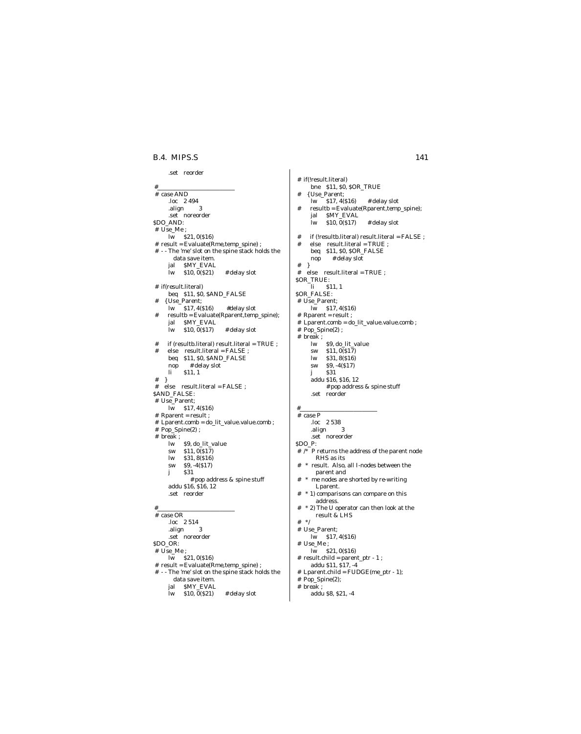### B.4. MIPS.S

```
.set reorder
```

```
\frac{1}{4} case AND
      .loc 2494
      .align
               \overline{\phantom{a}3}.set noreorder
$DO_AND:
# Use_Me;
     \overline{\text{lw}} $21, 0($16)
# result = Evaluate(Rme, temp\_spine);# -- The 'me' slot on the spine stack holds the
       data save item.
     jal MY_EVAL<br>lw $10, 0(S21)# delay slot
# if(result.literal)
    beq $11, $0, $AND_FALSE<br>{ Use_Parent;
      \mathbf{lw}$17,4(S16)#delay slot
#resultb = Evaluate(Rparent, temp\_spine);jal $MY_EVAL
      ľw
           $10, 0(S17)# delay slot
     if (resultb.literal) result.literal = TRUE;<br>else result.literal = FALSE;
##beq $11, $0, $AND_FALSE
             # delay slot
     \bf{nop}$11, 1\ln\#\rightarrow\# else result.literal = FALSE;
$AND_FALSE:
# Use_Parent;
     lw $17, 4($16)
# Rparent = result;
\# Lparent.comb = do_lit_value.value.comb;
\# Pop_Spine(2) ;
\# break ;
     lw $9, do_lit_value<br>sw $11, 0($17)
            $31, 8(S16)\mathbf{w}$9, -4(817)SW
            $31
     \mathbf{i}# pop address & spine stuff
      addu $16, $16, 12
      .set reorder
#\frac{1}{4} case OR
     loc 2 514
                 \overline{3}.align
      .set noreorder
$DO_OR:# Use Me:
     \overline{\text{lw}} $21, 0($16)
 # result = Evaluate(Rme,temp_spine);
 # -- The 'me' slot on the spine stack holds the
       data save item.
      jal $MY_EVAL
                            \# delay slot
     lw $10, 0($21)
```
# if(!result.literal) bne \$11, \$0, \$OR\_TRUE  $\overline{\text{Use} \text{Parent}}$  $#$  $$17, 4(S16)$ # delay slot lw  $resultb = Evaluate(Rparent, temp_spine);$ jal SMY\_EVAL  $i_{\rm w}$  $$10, 0(S17)$ # delay slot  $% \left( \left( \mathbf{r}\right) \right)$  if (!resultb.literal) result.literal = FALSE ;  $\pm$ else result.literal = TRUE; beq \$11, \$0, \$OR\_FALSE nop # delay slot  $#$  $\rightarrow$ else  $result.$ literal = TRUE ;  $#$ SOR\_TRUE: li \$11, 1 **SOR\_FALSE:** # Use\_Parent;  $\overline{\text{lw}}$  \$17, 4(\$16) # Rparent = result ; # Lparent.comb = do\_lit\_value.value.comb;  $# Pop\_Spine(2)$ ;  $# break;$ \$9, do\_lit\_value  $\mathbf{lw}$  $$11.0(S17)$  $\mathbf{S}$  $$31, 8(S16)$  $\mathbf{w}$  $$9, -4(517)$ **SW**  $\overline{\textbf{331}}$ j addu \$16, \$16, 12 # pop address & spine stuff .set reorder  $\#$  case  $P$  $loc$  2.538 .align  $_{3}$ .set noreorder  $SDO$   $P:$  $\#$  /\* P returns the address of the parent node RHS as its \* result. Also, all I-nodes between the  $#$ parent and \* me nodes are shorted by re-writing Lparent. \* 1) comparisons can compare on this  $\overline{t}$ address.  $#$  $^\ast$  2) The U operator can then look at the result & LHS #  $*/$ # Use\_Parent;  $lw$  \$17, 4(\$16)  $# Use_Me$  $\overline{\text{lw}}$  \$21, 0(\$16) # result.child = parent\_ptr - 1; addu \$11, \$17, -4 # Lparent.child = FUDGE(me\_ptr - 1);  $# Pop\_Spine(2);$  $#$  break; addu \$8, \$21, -4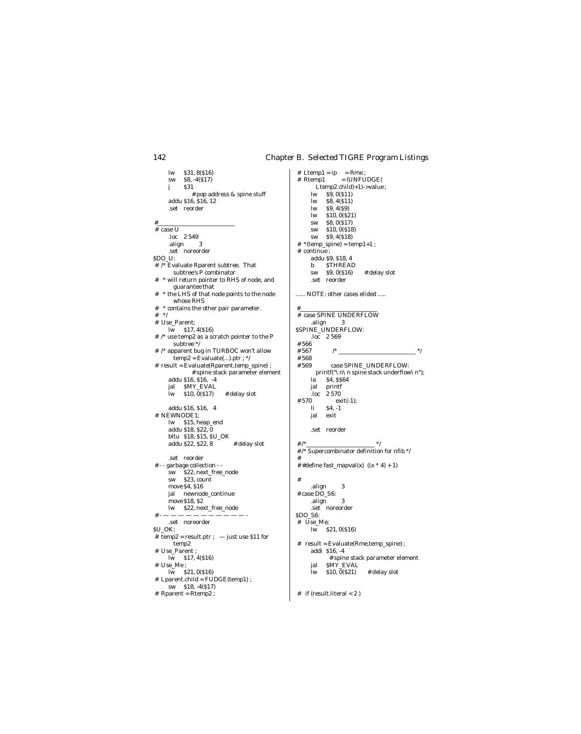$$31, 8(S16)$  $\mathbf{u}$ **SW**  $$8, -4(817)$  $\mathbf j$  $S31$  $*$  pop address & spine stuff<br>addu \$16, \$16, 12 .set reorder  $#$  $\#$  case U  $.$ loc 2 549 .align  $\overline{3}$ .set noreorder SDO\_U:  $#$  /\* Evaluate Rparent subtree. That<br>subtree's P combinator \* will return pointer to RHS of node, and  $#$ guarantee that  $#$ \* the LHS of that node points to the node whose  $\operatorname{RHS}$ # \* contains the other pair parameter. #  $\hspace{0.1cm}$  \*/ # Use\_Parent;  $lw$  \$17, 4(\$16)  $\#$  /\* use temp2 as a scratch pointer to the P subtree \*/  $\#$  /\* apparent bug in TURBOC won't allow  $temp2 = Evaluate(...).ptr; */$ # result = Evaluate(Rparent,temp\_spine) ; # spine stack parameter element addu \$16, \$16, -4 jal SMY\_EVAL  $\overline{1}w$  \$10, 0(\$17) # delay slot addu \$16, \$16, 4 # NEWNODE1; lw \$15, heap\_end addu \$18, \$22, 0 bltu \$18, \$15, \$U\_OK # delay slot addu \$22, \$22, 8 .set reorder # - - garbage collection - -\$22, next\_free\_node **SW**  $$23, count$ sw move \$4, \$16 jal newnode\_continue move \$18, \$2 lw \$22, next\_free\_node  $# -$ .set noreorder  $SU$  OK: # temp2 = result.ptr ;  $-$  just use \$11 for temp2 # Use\_Parent ;  $\overline{\text{lw}}$  \$17, 4(\$16)  $# Use_Me ;$  $\overline{\text{lw}}$  \$21, 0(\$16) # Lparent.child = FUDGE(temp1); sw  $$18, -4(S17)$  $#$  Rparent =  $Rtemp2$  ;

 $=$  (UNFUDGE( # Rtemp1 Ltemp2.child)+1)->value;  $lw = S\hat{9}$ ,  $0(S11)$  $$8, 4(S11)$  $\mathbf{w}$  $$9,4(S9)$  $\mathbf{w}$  $\mathbf{w}$  $$10, 0(S21)$  $$8,0(S17)$ sw  $$10, 0(S18)$  $\operatorname{\textbf{sw}}$  $\mathbf{sw}$ \$9,4(\$18)  $#$  \*(temp\_spine) = temp1+1 ; # continue; addu \$9, \$18, 4 **STHREAD**  $h$  $$9,0(S16)$ # delay slot  $\operatorname{SW}$ .set reorder ...... NOTE: other cases elided ..... # case SPINE UNDERFLOW align 3<br>SSPINE\_UNDERFLOW:  $\frac{1}{4}$  566  $#567$  $/$  $*$  $#568$ case SPINE\_UNDERFLOW:  $#569$ printf("\n\n spine stack underflow\n");  $1a$  \$4, \$\$64 jal printf  $loc$  2 570 #570  $ext(-1);$ <br>\$4, -1  $\mathbf{h}$ jal exit .set reorder  $*$ / # $/$ \* # /\* Supercombinator definition for nfib \*/  $#$ ##define fast\_mapval(x)  $((x * 4) + 1)$  $#$ .align  $\overline{3}$ # case DO\_S6: .align 3 .set noreorder SDO\_S6: # Use\_Me;  $\frac{1}{2}$  kw \$21, 0(\$16)  $# result = Evaluate(Rme, temp\_spine);$ addi \$16, -4 # spine stack parameter element jal SMY\_EVAL  $$10, 0(S21)$ # delay slot  $\mathbf{w}$ 

 $#$  if (result.literal < 2)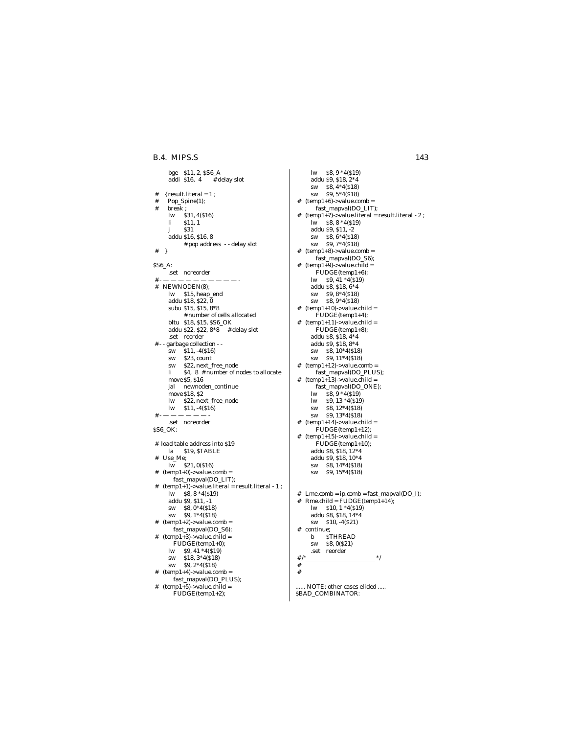### B.4. MIPS.S

```
bge $11, 2, $S6_A
     addi $16, 4
                     # delay slot
   {result. literal = 1 ;
#Pop_Spine(1);
#break;#\mathbf{w}$31, 4(S16)\mathbf{li}$11, 1$31j
     addu $16, $16, 8
           # pop address - - delay slot
\# \quad }
SS6_A:
     .set noreorder
## NEWNODEN(8);
     lw $15, heap_end
     addu $18, $22, 0
     subu $15, $15, 8*8
           # number of cells allocated
     bltu $18, $15, $S6_OK
     addu $22, $22, 8*8 # delay slot
      .set reorder
\frac{\text{# -} \cdot \text{garbage collection -}}{\text{sw}} $11, -4($16)
           $23, count
     SW
           $22, next free node
     SW
     \mathbf{h}$4, 8 # number of nodes to allocate
     move $5, $16
     jal newnoden_continue
     move $18, $2
     \mathbf{lw}$22, next_free_node
           $11, -4(S16)\mathbf{lw}\overline{H}.set noreorder
$S6 OK:
# load table address into $19
     la $19, STABLE
#Use Me;
     \overline{\text{lw}} $21, 0($16)
# (temp1+0)->value.comb =
       fast_mapval(DO_LIT);
#temp1+1)->value.literal = result.literal - 1;
     \overline{\text{lw}} $8, 8 *4($19)
     addu $9, $11, -1
     sw $8,0*4($18)
     sw $9, 1*4($18)
# (temp1+2)->value.comb =
       fast_mapval(DO_S6);
# (temp1+3)->value.child =
       \text{FUDGE}(\text{temp1+0});\mathbf{lw}$9,41*4(519)$18,3*4(818)sw
           $9,2*4(S18)sw
  temp1+4-value.comb =
\#fast_mapval(DO_PLUS);
#temp1+5-value.child =
       \text{FUDGE}(temp1+2);
```
 $lw$  \$8,  $9 * 4(519)$ addu \$9, \$18, 2\*4 sw \$8,4\*4(\$18)  $$9,5*4(518)$ **SW**  $temp1+6$ ->value.comb =  $#$ fast\_mapval(DO\_LIT);  $temp1+7$ ->value.literal = result.literal - 2;  $#$  $\ln$  \$8, 8 \*4(\$19) addu \$9, \$11, -2 sw \$8,6\*4(\$18) sw \$9,7\*4(\$18)  $(temp1+8)$ ->value.comb =  $\#$ fast\_mapval(DO\_S6);  $temp1+9$ ->value.child =<br>FUDGE(temp1+6);  $#$  $\frac{1}{9}$  S9, 41 \*4(\$19) addu \$8, \$18, 6\*4 sw  $$9, 8*4(S18)$ sw  $$8, 9*4(S18)$  $(temp1+10)$ ->value.child =  $\text{FUDGE}(\text{temp1+4});$  $(temp1+11)$ ->value.child =  $\#$  $\text{FUDGE}(\text{temp1+8});$ addu \$8, \$18, 4\*4 addu \$9, \$18,  $8*4$ sw \$8, 10\*4(\$18) sw \$9, 11\*4(\$18)  $temp1+12$  ->value.comb =  $#$  $\frac{12}{3}$ <br>fast\_mapval(DO\_PLUS);<br>(temp1+13)->value.child =  $#$ fast\_mapval(DO\_ONE); lw  $\bar{S}8$ ,  $9 * 4(519)$  $\mathbf{lw}$ \$9, 13 \* 4(\$19) \$8, 12\*4(\$18) sw  $\operatorname{\textbf{sw}}$ \$9, 13\*4(\$18)  $\#$  $(temp1+14)$ ->value.child = FUDGE(temp1+12);  $(\text{temp1+15})$ ->value.child =<br>FUDGE(temp1+10);  $#$ addu \$8, \$18, 12\*4 addu \$9, \$18, 10\*4 sw \$8, 14\*4(\$18)  $$9, 15*4(518)$ **SW**  $\#$  Lme.comb = ip.comb = fast\_mapval(DO\_I);  $Rme.child = \overline{F}UDGE(templ+14);$  $\#$  $lw$  \$10,  $1 * 4(519)$ addu \$8, \$18, 14\*4 sw  $$10, -4(S21)$ continue:  $#$ **STHREAD** <sub>b</sub> **SW** \$8,0(\$21) .set reorder  $\#$  /\*  $*$  $#$  $\#$ 

NOTE: other cases elided ..... \$BAD\_COMBINATOR: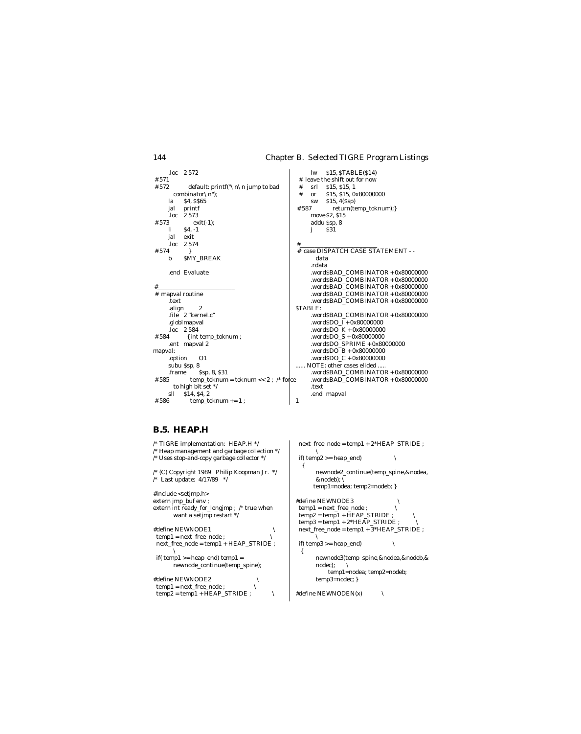$lw$  \$15, STABLE(\$14) .loc 2 572  $#571$ # leave the shift out for now srl \$15, \$15, 1<br>or \$15, \$15, 0x80000000 #572 default: printf("\n\n jump to bad  $#$ combinator $\ln$ ");  $#$ **S4. SS65**  $$15, 4(SSD)$ la **SW**  $return (temp_to knum);$ jal printf  $#587$  $loc$  2 573 move \$2, \$15 # 573  $exit(-1);$ addu Ssp, 8  $\mathbf{li}$  $$4, -1$  $\overline{331}$  $\mathbf{i}$ jal  $ext{ext}$ .loc 2 574 #574  $\#$  case DISPATCH CASE STATEMENT  $\cdots$ SMY\_BREAK  $\mathbf b$ data .rdata .word\$BAD\_COMBINATOR +  $0x80000000$ .end Evaluate .word $$BAD$  COMBINATOR + 0x80000000 .word $$BAD\_COMBINATOR + 0x80000000$  $#$  mapval routine .word\$BAD\_COMBINATOR +  $0x80000000$ .word\$BAD\_COMBINATOR +  $0x80000000$ .text .align  $\sqrt{2}$ **STABLE:** file 2 "kernel.c" .word\$BAD\_COMBINATOR +  $0x80000000$ .globlmapval .word<br>\$DO\_I +  $0x80000000$  $\overline{loc}$  2 584 .word<br>\$DO\_K +  $0x80000000$  $\begin{array}{l} \mathrm{.wordSDO\_S} + 0 \mathrm{x} 80 00 0000 \\ \mathrm{.wordSDO\_SPRIME} + 0 \mathrm{x} 80 00 0000 \end{array}$ #584 { int temp\_toknum ; .ent mapval 2 .word $$DO B + 0x80000000$ manyal:  ${\bf.} {\bf wordSDO\_C + 0x80000000}$  $O<sub>1</sub>$ .option NOTE: other cases elided subu \$sp, 8 .word\$BAD\_COMBINATOR + 0x80000000 Ssp, 8, \$31 .frame # 585 temp\_toknum = toknum << 2; /\* force .word\$BAD\_COMBINATOR +  $0x80000000$ to high bit set  $*/$ .text sll \$14, \$4, 2 .end mapval #586  $temp\_toknum += 1$ ;  $\overline{1}$ 

### **B.5. HEAP.H**

 $\small \textbf{temp2} = \small \textbf{temp1} + \small \textbf{HEAP\_STRIDE} \; ;$ 

/\* TIGRE implementation: HEAP.H  $*/$  $next\_free\_node = temp1 + 2*HEAD\_STRIDE$  ; <sup>/\*</sup> Heap management and garbage collection  $*/$ <br>/\* Uses stop-and-copy garbage collector  $*/$  $if( temp2 >= heap\_end)$  $\bar{ }$  $\{$  $/*$  (C) Copyright 1989 Philip Koopman Jr.  $*/$ newnode2\_continue(temp\_spine,&nodea, /\* Last update:  $4/17/89$  \*/ &nodeb); temp1=nodea; temp2=nodeb; } #include <setjmp.h> extern jmp\_buf env; #define NEWNODE3 extern int ready\_for\_longjmp ; /\* true when  $\mathbf{temp1} = \mathbf{next\_free\_node}$  ;  $\diagdown$ temp2 = temp1 + HEAP\_STRIDE ;<br>
temp3 = temp1 + 2\*HEAP\_STRIDE ;<br>
next\_free\_node = temp1 + 3\*HEAP\_STRIDE ; want a setjmp restart  $^{\ast}/$ #define NEWNODE1  $\sqrt{2}$ temp1 = next\_free\_node ; ╲  $next\_free\_node = temp1 + HEAD\_STRIDE ;$  $\operatorname{if}(\,\text{temp3}\, \text{>=}\, \text{heap\_end})$ ł  $if$ (temp1 >= heap\_end) temp1 = newnode3(temp\_spine,&nodea,&nodeb,& newnode\_continue(temp\_spine); nodec); temp1=nodea; temp2=nodeb; #define NEWNODE2 temp3=nodec; }  $\mathtt{temp1} = \mathtt{next\_free\_node}$  ;

#define NEWNODEN(x)

 $\setminus$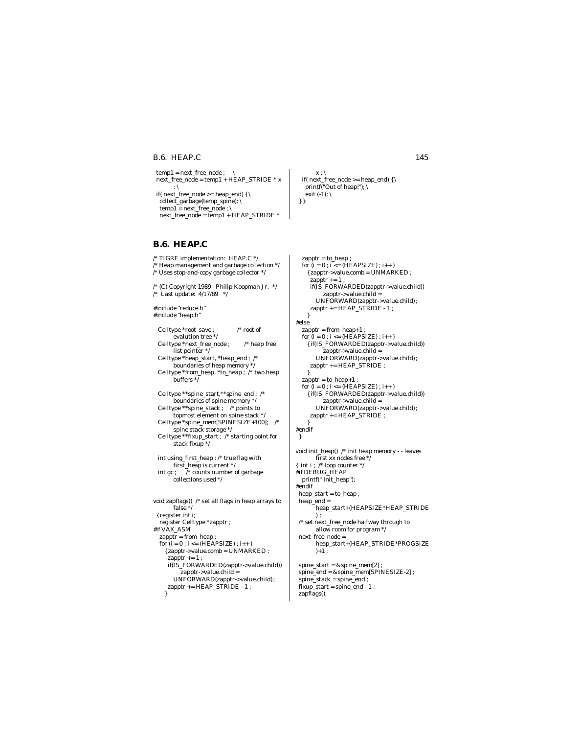### **B.6. HEAP.C** 145

 $temp1 = next\_free\_node$  ;  $\qquad \qquad$  next\_free\_node = temp1 + HEAP\_STRIDE \* x ; \ if(  $next\_free\_node >= heap\_end$ ) { \ collect\_garbage(temp\_spine); \ temp1 = next\_free\_node ;  $\setminus$  $next\_free\_node = temp1 + HEAD\_STRIDE *$ 

# **B.6. HEAP.C**

/\* TIGRE implementation: HEAP.C \*/ /\* Heap management and garbage collection  $*/$ /\* Uses stop-and-copy garbage collector \*/ /\* (C) Copyright 1989 Philip Koopman Jr. \*/ /\* Last update: 4/17/89 \*/ #include "reduce.h" #include "heap.h" Celltype \*root\_save ; /\* root of evalution tree \*/ <code>Celltype \*next\_free\_node</code> ;  $\qquad$  /\* heap free list pointer \*/ Celltype \*heap\_start, \*heap\_end ; /\* boundaries of heap memory \*/ Celltype \*from\_heap, \*to\_heap ; /\* two heap buffers \*/ Celltype \*\*spine\_start,\*\*spine\_end ; /\* boundaries of spine memory \*/ Celltype \*\*spine\_stack ; /\* points to topmost element on spine stack \*/ Celltype \*spine\_mem[SPINESIZE+100]; /\* spine stack storage \*/ Celltype \*\*fixup\_start ; /\* starting point for stack fixup \*/ int using first heap ;  $/*$  true flag with first\_heap is current \*/ int gc ; /\* counts number of garbage collections used \*/ void zapflags() /\* set all flags in heap arrays to false \*/ { register int i; register Celltype \*zapptr ; #if VAX\_ASM zapptr = from\_heap ; for  $(i = 0; i \leq (HEAPSIZE); i++)$  ${zapptr}\rightarrow$ value.comb = UNMARKED ; zapptr  $+= 1$ ; if(IS\_FORWARDED(zapptr->value.child)) zapptr->value.child = UNFORWARD(zapptr->value.child) ;

zapptr += HEAP\_STRIDE - 1 ;

}

 $x$  ;  $\setminus$ if( next\_free\_node >= heap\_end) {  $\backslash$  printf("Out of heap!"); \ exit (-1);  $\setminus$ } };

 zapptr = to\_heap ; for  $(i = 0; i <= (HEAPSIZE); i++)$  ${2\text{zapptr} > \text{value.comb = UNMARKED :}}$ zapptr  $+= 1$ ; if(IS\_FORWARDED(zapptr->value.child))  $z$ apptr->value.child = UNFORWARD(zapptr->value.child) ;  $z$ apptr +=  $HEAP$ <sub>\_</sub> $STRIDE - 1$  ; } #else zapptr = from\_heap+1 ; for  $(i = 0; i <= (HEAPSIZE); i++)$  { if(IS\_FORWARDED(zapptr->value.child)) zapptr->value.child = UNFORWARD(zapptr->value.child) ; zapptr += HEAP\_STRIDE ; }  $z$ apptr = to\_heap+1 ; for  $(i = 0; i \leq (HEAPSIZE); i++)$  { if(IS\_FORWARDED(zapptr->value.child))  $z$ apptr->value.child = UNFORWARD(zapptr->value.child) ; zapptr += HEAP\_STRIDE ; } #endif } void init\_heap() /\* init heap memory - - leaves first xx nodes free  $*\vec{b}$ { int i ; /\* loop counter \*/ #if DEBUG\_HEAP printf(" init\_heap"); #endif heap\_start = to\_heap ; heap\_end = heap\_start+(HEAPSIZE\*HEAP\_STRIDE ) ; /\* set next\_free\_node halfway through to allow room for program \*/ next\_free\_node = heap\_start+(HEAP\_STRIDE\*PROGSIZE  $)+1$  :

 spine\_start = &spine\_mem[2] ; spine\_end = &spine\_mem[SPINESIZE-2] ; spine\_stack = spine\_end ; fixup\_start = spine\_end - 1 ; zapflags();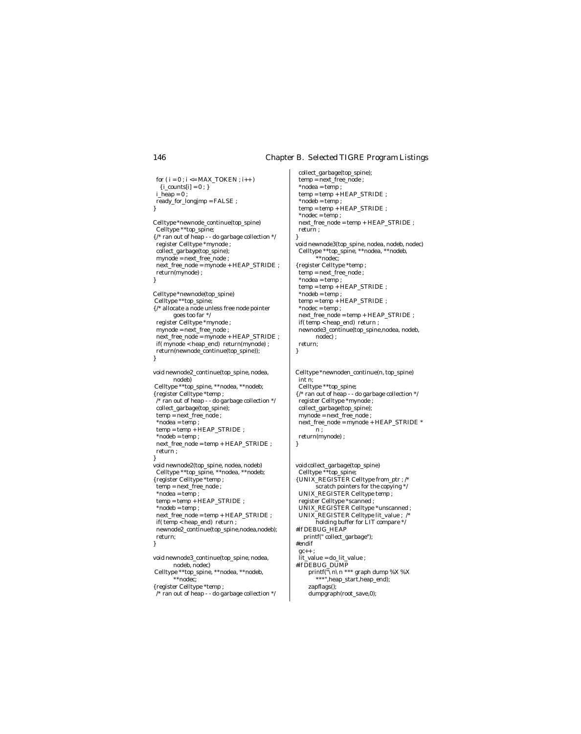}

}

for (  $\mathbf{i} = \mathbf{0}$  ;  $\mathbf{i} <= \mathrm{MAX\_TOKEN}$  ;  $\mathbf{i}++$  )  $\{i\_counts[i]=0;\}$  $i_\text{heap} = 0$ ; ready\_for\_longjmp = FALSE ; } Celltype \*newnode\_continue(top\_spine) Celltype \*\*top\_spine; { /\* ran out of heap - - do garbage collection \*/ register Celltype \*mynode ; collect\_garbage(top\_spine); mynode = next\_free\_node ;  ${\bf next\_free\_node = mynode + HEAD\_STRIDE}$  ; return(mynode) ; } Celltype \*newnode(top\_spine) Celltype \*\*top\_spine; { /\* allocate a node unless free node pointer goes too far \*/ register Celltype \*mynode ; mynode = next\_free\_node ; next\_free\_node = mynode + HEAP\_STRIDE ; if( mynode < heap\_end) return(mynode) ; return(newnode\_continue(top\_spine)); } void newnode2\_continue(top\_spine, nodea, nodeb) Celltype \*\*top\_spine, \*\*nodea, \*\*nodeb; { register Celltype \*temp ; /\* ran out of heap - - do garbage collection \*/ collect\_garbage(top\_spine); temp = next\_free\_node ; \*nodea = temp ; temp = temp + HEAP\_STRIDE ; \*nodeb = temp ; next\_free\_node = temp + HEAP\_STRIDE ; return ; } void newnode2(top\_spine, nodea, nodeb) Celltype \*\*top\_spine, \*\*nodea, \*\*nodeb; { register Celltype \*temp ; temp = next\_free\_node ;  $*$ nodea = temp; temp = temp + HEAP\_STRIDE ;  $*nodeb = temp;$  $next\_free\_node = temp + HEAP\_STRIDE \; ;$  if( temp < heap\_end) return ; newnode2\_continue(top\_spine,nodea,nodeb); return; } void newnode3\_continue(top\_spine, nodea, nodeb, nodec) Celltype \*\*top\_spine, \*\*nodea, \*\*nodeb,

\*\*nodec; { register Celltype \*temp ; /\* ran out of heap - - do garbage collection \*/

 collect\_garbage(top\_spine); temp = next\_free\_node ; \*nodea = temp ; temp = temp + HEAP\_STRIDE ; \*nodeb = temp ; temp = temp + HEAP\_STRIDE ;  $*$ nodec = temp ; next\_free\_node = temp + HEAP\_STRIDE ; return ; void newnode3(top\_spine, nodea, nodeb, nodec) Celltype \*\*top\_spine, \*\*nodea, \*\*nodeb, \*\*nodec; { register Celltype \*temp ; temp = next\_free\_node ;  $*nodea = temp;$ temp = temp + HEAP\_STRIDE ; \*nodeb = temp ; temp = temp + HEAP\_STRIDE ; \*nodec = temp ; next\_free\_node = temp + HEAP\_STRIDE ; if( temp < heap\_end) return ; newnode3\_continue(top\_spine,nodea, nodeb, nodec) ; return;

Celltype \*newnoden\_continue(n, top\_spine) int n; Celltype \*\*top\_spine; { /\* ran out of heap - - do garbage collection \*/ register Celltype \*mynode ; collect\_garbage(top\_spine); mynode = next\_free\_node ; next\_free\_node = mynode + HEAP\_STRIDE \* n ; return(mynode) ; }

void collect\_garbage(top\_spine) Celltype \*\*top\_spine; { UNIX\_REGISTER Celltype from\_ptr ; /\* scratch pointers for the copying \*/ UNIX\_REGISTER Celltype temp ; register Celltype \*scanned ; UNIX\_REGISTER Celltype \*unscanned ; UNIX\_REGISTER Celltype lit\_value ; /\* holding buffer for LIT compare \*/ #if DEBUG HEAP printf(" collect\_garbage"); #endif  $gc++$ :  $\text{lit\_value} = \text{do\_lit\_value}$  ; #if DEBUG\_DUMP printf("\n\n \*\*\* graph dump %X %X \*\*\*",heap\_start,heap\_end); zapflags();

dumpgraph(root\_save,0);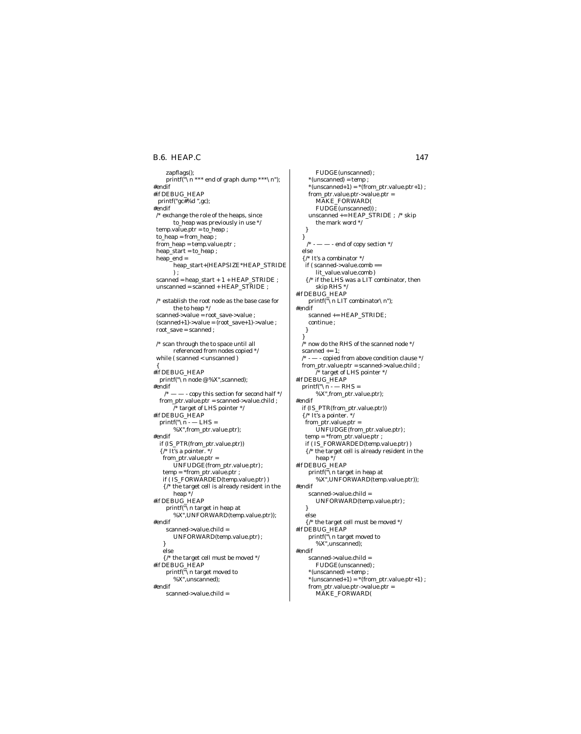### **B.6. HEAP.C** 147

 zapflags();  $\text{printf}(\breve{\ulcorner}\backslash n$  \*\*\* end of graph dump \*\*\*  $\backslash n$  "); #endif #if DEBUG\_HEAP printf("gc#%d ",gc); #endif /\* exchange the role of the heaps, since to\_heap was previously in use \*/  $temp.value.ptr = to\_heap$ ; to\_heap = from\_heap ; from\_heap = temp.value.ptr ; heap\_start = to\_heap ; heap\_end = heap\_start+(HEAPSIZE\*HEAP\_STRIDE ) ; scanned = heap\_start + 1 + HEAP\_STRIDE ;  $unscanned = scanned + HEAD\_STRIDE$ ; /\* establish the root node as the base case for the to heap \*/ scanned->value = root\_save->value ; (scanned+1)->value = (root\_save+1)->value ; root\_save = scanned ;  $\prime^*$  scan through the to space until all referenced from nodes copied \*/ while ( scanned < unscanned ) { #if DEBUG\_HEAP printf(" $\overline{\wedge}$  node @ %X",scanned); #endif - copy this section for second half  $*/$  from\_ptr.value.ptr = scanned->value.child ;  $\overrightarrow{I}^*$  target of LHS pointer  $\overrightarrow{I}$ #if DEBUG\_HEAP  $print(f''\sqrt{n} - LHS =$ %X",from\_ptr.value.ptr); #endif if (IS\_PTR(from\_ptr.value.ptr)) { /\* It's a pointer. \*/ from\_ptr.value.ptr = UNFUDGE(from\_ptr.value.ptr) ; temp = \*from\_ptr.value.ptr ; if ( IS\_FORWARDED(temp.value.ptr) ) { /\* the target cell is already resident in the heap \*/ #if DEBUG\_HEAP printf("\n target in heap at %X",UNFORWARD(temp.value.ptr)); #endif scanned->value.child = UNFORWARD(temp.value.ptr) ; } else { /\* the target cell must be moved \*/ #if DEBUG\_HEAP printf("\n target moved to %X",unscanned); #endif scanned->value.child =

FUDGE(unscanned) ; \*(unscanned) = temp ;  $*(unscanned+1) = *(from\_ptr.value.ptr+1)$  ; from\_ptr.value.ptr->value.ptr = MAKE\_FORWARD( FUDGE(unscanned)) ; unscanned += HEAP\_STRIDE ; /\* skip the mark word \*/ } }  $\gamma^*$  - — — - end of copy section  $\gamma$  else  $\{$  /\* It's a combinator  $^{*}/$  if ( scanned->value.comb == lit\_value.value.comb ) { /\* if the LHS was a LIT combinator, then skip RHS \*/ #if DEBUG\_HEAP printf("\n LIT combinator\n"); #endif scanned += HEAP\_STRIDE; continue ; } }  $\hspace{0.1em}$  /\* now do the RHS of the scanned node \*/ scanned  $+= 1$ :  $/* -- copied from above condition clause */$  $from\_ptr.value.ptr = scanned\_value.child$  ; /\* target of LHS pointer \*/ #if DEBUG\_HEAP  $print(f("\n) - RHS =$ %X",from\_ptr.value.ptr); #endif if (IS\_PTR(from\_ptr.value.ptr)) { /\* It's a pointer. \*/ from\_ptr.value.ptr = UNFUDGE(from\_ptr.value.ptr) ; temp = \*from\_ptr.value.ptr ; if ( IS\_FORWARDED(temp.value.ptr) ) { /\* the target cell is already resident in the heap \*/ #if DEBUG\_HEAP printf("\n target in heap at %X",UNFORWARD(temp.value.ptr)); #endif scanned->value.child = UNFORWARD(temp.value.ptr) ; } else { /\* the target cell must be moved \*/ #if DEBUG\_HEAP printf("\n target moved to %X",unscanned); #endif scanned->value.child = FUDGE(unscanned) ;  $*(unscanned) = temp;$  $*(unscanned+1) = *(from\_ptr.value.ptr+1)$ ; from\_ptr.value.ptr->value.ptr = MAKE\_FORWARD(